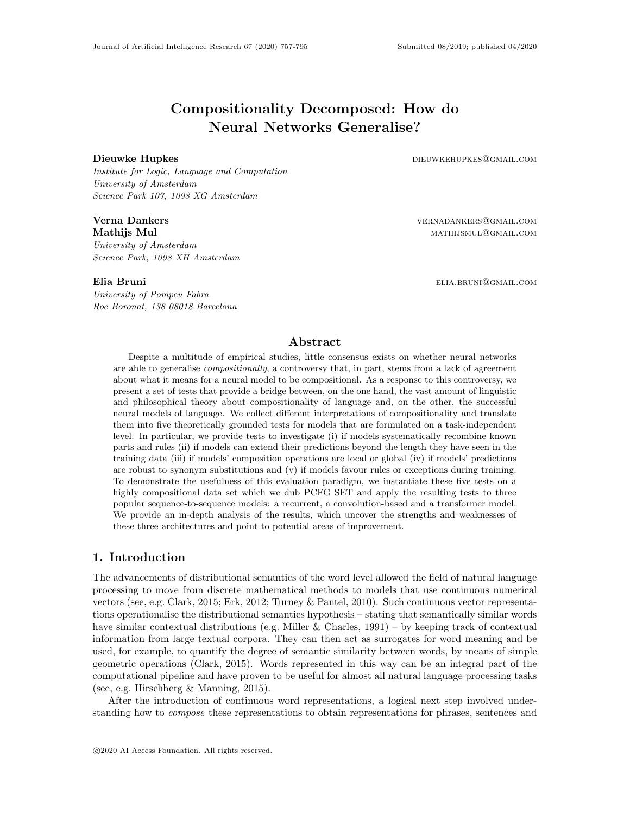# Compositionality Decomposed: How do Neural Networks Generalise?

Institute for Logic, Language and Computation University of Amsterdam Science Park 107, 1098 XG Amsterdam

University of Amsterdam Science Park, 1098 XH Amsterdam

University of Pompeu Fabra Roc Boronat, 138 08018 Barcelona

Dieuwke Hupkes and the settlement of the community of the dieuwkehupkes@gmail.com

**Verna Dankers** verwaard vernaam vernaam vernaam vernaam vernaam verwaard verwaard verwaard verwaard verwaard ver Mathijs Mul mathijsmul@gmail.com

Elia Bruni elia.bruni elia.bruni elia.bruni elia.bruni elia.bruni elia.bruni elia.bruni elia.bruni elia.bruni e

## Abstract

Despite a multitude of empirical studies, little consensus exists on whether neural networks are able to generalise *compositionally*, a controversy that, in part, stems from a lack of agreement about what it means for a neural model to be compositional. As a response to this controversy, we present a set of tests that provide a bridge between, on the one hand, the vast amount of linguistic and philosophical theory about compositionality of language and, on the other, the successful neural models of language. We collect different interpretations of compositionality and translate them into five theoretically grounded tests for models that are formulated on a task-independent level. In particular, we provide tests to investigate (i) if models systematically recombine known parts and rules (ii) if models can extend their predictions beyond the length they have seen in the training data (iii) if models' composition operations are local or global (iv) if models' predictions are robust to synonym substitutions and (v) if models favour rules or exceptions during training. To demonstrate the usefulness of this evaluation paradigm, we instantiate these five tests on a highly compositional data set which we dub PCFG SET and apply the resulting tests to three popular sequence-to-sequence models: a recurrent, a convolution-based and a transformer model. We provide an in-depth analysis of the results, which uncover the strengths and weaknesses of these three architectures and point to potential areas of improvement.

## 1. Introduction

The advancements of distributional semantics of the word level allowed the field of natural language processing to move from discrete mathematical methods to models that use continuous numerical vectors (see, e.g. [Clark, 2015;](#page-35-0) [Erk, 2012;](#page-35-1) [Turney & Pantel, 2010\)](#page-38-0). Such continuous vector representations operationalise the distributional semantics hypothesis – stating that semantically similar words have similar contextual distributions (e.g. [Miller & Charles, 1991\)](#page-37-0) – by keeping track of contextual information from large textual corpora. They can then act as surrogates for word meaning and be used, for example, to quantify the degree of semantic similarity between words, by means of simple geometric operations [\(Clark, 2015\)](#page-35-0). Words represented in this way can be an integral part of the computational pipeline and have proven to be useful for almost all natural language processing tasks (see, e.g. [Hirschberg & Manning, 2015\)](#page-35-2).

After the introduction of continuous word representations, a logical next step involved understanding how to *compose* these representations to obtain representations for phrases, sentences and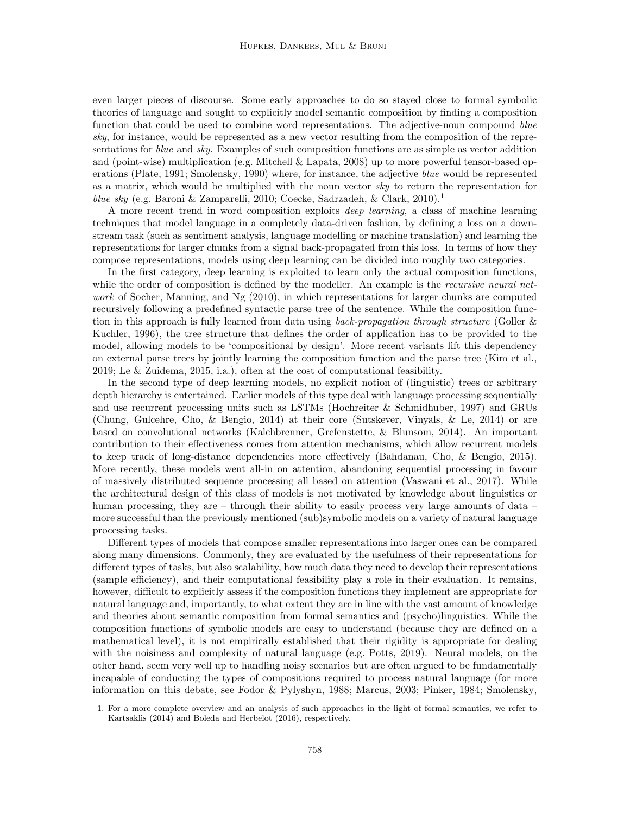even larger pieces of discourse. Some early approaches to do so stayed close to formal symbolic theories of language and sought to explicitly model semantic composition by finding a composition function that could be used to combine word representations. The adjective-noun compound blue sky, for instance, would be represented as a new vector resulting from the composition of the representations for *blue* and *sky*. Examples of such composition functions are as simple as vector addition and (point-wise) multiplication (e.g. [Mitchell & Lapata, 2008\)](#page-37-1) up to more powerful tensor-based op-erations [\(Plate, 1991;](#page-37-2) [Smolensky, 1990\)](#page-38-1) where, for instance, the adjective *blue* would be represented as a matrix, which would be multiplied with the noun vector sky to return the representation for blue sky (e.g. [Baroni & Zamparelli, 2010;](#page-34-0) [Coecke, Sadrzadeh, & Clark, 2010\)](#page-35-3).<sup>[1](#page-1-0)</sup>

A more recent trend in word composition exploits deep learning, a class of machine learning techniques that model language in a completely data-driven fashion, by defining a loss on a downstream task (such as sentiment analysis, language modelling or machine translation) and learning the representations for larger chunks from a signal back-propagated from this loss. In terms of how they compose representations, models using deep learning can be divided into roughly two categories.

In the first category, deep learning is exploited to learn only the actual composition functions, while the order of composition is defined by the modeller. An example is the *recursive neural net*-work of [Socher, Manning, and Ng](#page-38-2) [\(2010\)](#page-38-2), in which representations for larger chunks are computed recursively following a predefined syntactic parse tree of the sentence. While the composition function in this approach is fully learned from data using *back-propagation through structure* [\(Goller &](#page-35-4) [Kuchler, 1996\)](#page-35-4), the tree structure that defines the order of application has to be provided to the model, allowing models to be 'compositional by design'. More recent variants lift this dependency on external parse trees by jointly learning the composition function and the parse tree [\(Kim et al.,](#page-36-0) [2019;](#page-36-0) [Le & Zuidema, 2015,](#page-36-1) i.a.), often at the cost of computational feasibility.

In the second type of deep learning models, no explicit notion of (linguistic) trees or arbitrary depth hierarchy is entertained. Earlier models of this type deal with language processing sequentially and use recurrent processing units such as LSTMs [\(Hochreiter & Schmidhuber, 1997\)](#page-35-5) and GRUs [\(Chung, Gulcehre, Cho, & Bengio, 2014\)](#page-35-6) at their core [\(Sutskever, Vinyals, & Le, 2014\)](#page-38-3) or are based on convolutional networks [\(Kalchbrenner, Grefenstette, & Blunsom, 2014\)](#page-36-2). An important contribution to their effectiveness comes from attention mechanisms, which allow recurrent models to keep track of long-distance dependencies more effectively [\(Bahdanau, Cho, & Bengio, 2015\)](#page-34-1). More recently, these models went all-in on attention, abandoning sequential processing in favour of massively distributed sequence processing all based on attention [\(Vaswani et al., 2017\)](#page-38-4). While the architectural design of this class of models is not motivated by knowledge about linguistics or human processing, they are – through their ability to easily process very large amounts of data – more successful than the previously mentioned (sub)symbolic models on a variety of natural language processing tasks.

Different types of models that compose smaller representations into larger ones can be compared along many dimensions. Commonly, they are evaluated by the usefulness of their representations for different types of tasks, but also scalability, how much data they need to develop their representations (sample efficiency), and their computational feasibility play a role in their evaluation. It remains, however, difficult to explicitly assess if the composition functions they implement are appropriate for natural language and, importantly, to what extent they are in line with the vast amount of knowledge and theories about semantic composition from formal semantics and (psycho)linguistics. While the composition functions of symbolic models are easy to understand (because they are defined on a mathematical level), it is not empirically established that their rigidity is appropriate for dealing with the noisiness and complexity of natural language (e.g. [Potts, 2019\)](#page-37-3). Neural models, on the other hand, seem very well up to handling noisy scenarios but are often argued to be fundamentally incapable of conducting the types of compositions required to process natural language (for more information on this debate, see [Fodor & Pylyshyn, 1988;](#page-35-7) [Marcus, 2003;](#page-37-4) [Pinker, 1984;](#page-37-5) [Smolensky,](#page-38-1)

<span id="page-1-0"></span><sup>1.</sup> For a more complete overview and an analysis of such approaches in the light of formal semantics, we refer to [Kartsaklis](#page-36-3) [\(2014\)](#page-36-3) and [Boleda and Herbelot](#page-34-2) [\(2016\)](#page-34-2), respectively.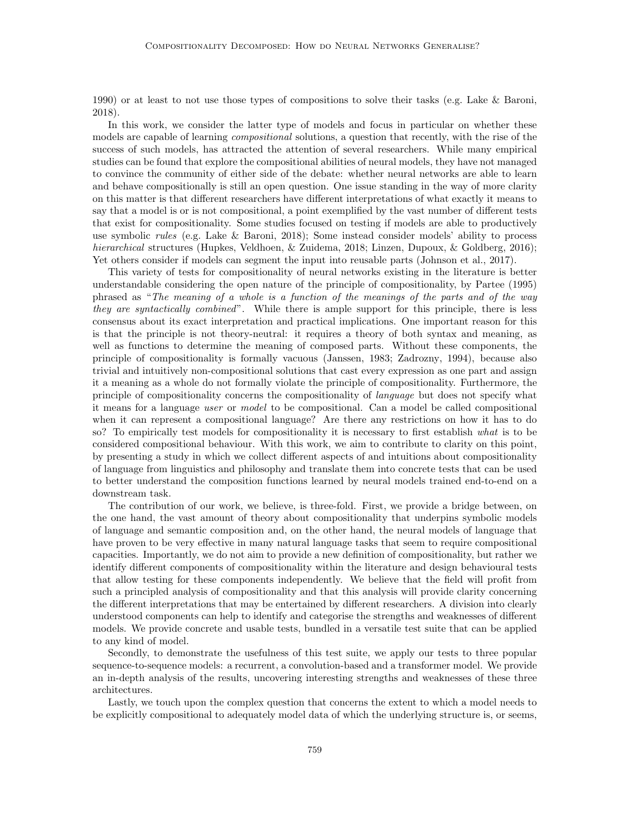[1990\)](#page-38-1) or at least to not use those types of compositions to solve their tasks (e.g. [Lake & Baroni,](#page-36-4) [2018\)](#page-36-4).

In this work, we consider the latter type of models and focus in particular on whether these models are capable of learning *compositional* solutions, a question that recently, with the rise of the success of such models, has attracted the attention of several researchers. While many empirical studies can be found that explore the compositional abilities of neural models, they have not managed to convince the community of either side of the debate: whether neural networks are able to learn and behave compositionally is still an open question. One issue standing in the way of more clarity on this matter is that different researchers have different interpretations of what exactly it means to say that a model is or is not compositional, a point exemplified by the vast number of different tests that exist for compositionality. Some studies focused on testing if models are able to productively use symbolic rules (e.g. [Lake & Baroni, 2018\)](#page-36-4); Some instead consider models' ability to process hierarchical structures [\(Hupkes, Veldhoen, & Zuidema, 2018;](#page-36-5) [Linzen, Dupoux, & Goldberg, 2016\)](#page-36-6); Yet others consider if models can segment the input into reusable parts [\(Johnson et al., 2017\)](#page-36-7).

This variety of tests for compositionality of neural networks existing in the literature is better understandable considering the open nature of the principle of compositionality, by [Partee](#page-37-6) [\(1995\)](#page-37-6) phrased as "The meaning of a whole is a function of the meanings of the parts and of the way they are syntactically combined". While there is ample support for this principle, there is less consensus about its exact interpretation and practical implications. One important reason for this is that the principle is not theory-neutral: it requires a theory of both syntax and meaning, as well as functions to determine the meaning of composed parts. Without these components, the principle of compositionality is formally vacuous [\(Janssen, 1983;](#page-36-8) [Zadrozny, 1994\)](#page-38-5), because also trivial and intuitively non-compositional solutions that cast every expression as one part and assign it a meaning as a whole do not formally violate the principle of compositionality. Furthermore, the principle of compositionality concerns the compositionality of language but does not specify what it means for a language user or model to be compositional. Can a model be called compositional when it can represent a compositional language? Are there any restrictions on how it has to do so? To empirically test models for compositionality it is necessary to first establish what is to be considered compositional behaviour. With this work, we aim to contribute to clarity on this point, by presenting a study in which we collect different aspects of and intuitions about compositionality of language from linguistics and philosophy and translate them into concrete tests that can be used to better understand the composition functions learned by neural models trained end-to-end on a downstream task.

The contribution of our work, we believe, is three-fold. First, we provide a bridge between, on the one hand, the vast amount of theory about compositionality that underpins symbolic models of language and semantic composition and, on the other hand, the neural models of language that have proven to be very effective in many natural language tasks that seem to require compositional capacities. Importantly, we do not aim to provide a new definition of compositionality, but rather we identify different components of compositionality within the literature and design behavioural tests that allow testing for these components independently. We believe that the field will profit from such a principled analysis of compositionality and that this analysis will provide clarity concerning the different interpretations that may be entertained by different researchers. A division into clearly understood components can help to identify and categorise the strengths and weaknesses of different models. We provide concrete and usable tests, bundled in a versatile test suite that can be applied to any kind of model.

Secondly, to demonstrate the usefulness of this test suite, we apply our tests to three popular sequence-to-sequence models: a recurrent, a convolution-based and a transformer model. We provide an in-depth analysis of the results, uncovering interesting strengths and weaknesses of these three architectures.

Lastly, we touch upon the complex question that concerns the extent to which a model needs to be explicitly compositional to adequately model data of which the underlying structure is, or seems,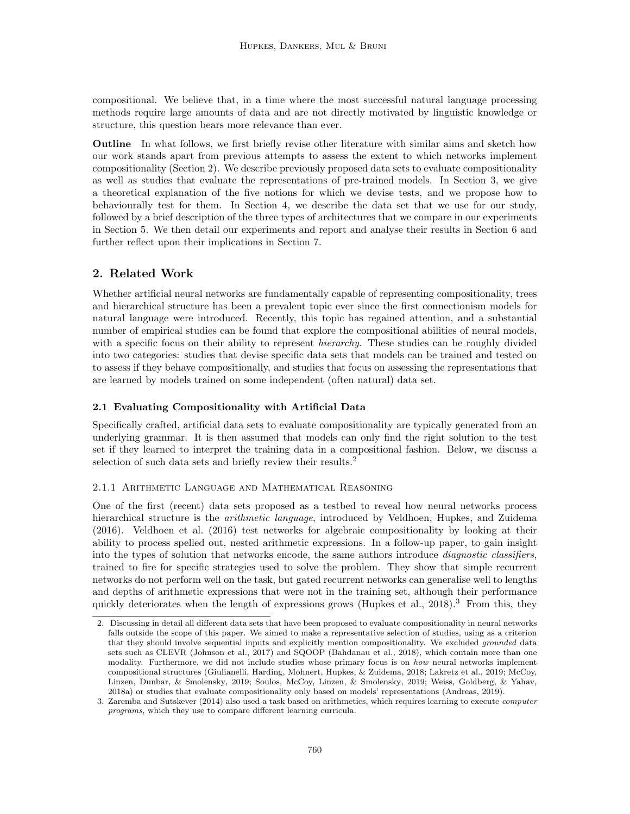compositional. We believe that, in a time where the most successful natural language processing methods require large amounts of data and are not directly motivated by linguistic knowledge or structure, this question bears more relevance than ever.

Outline In what follows, we first briefly revise other literature with similar aims and sketch how our work stands apart from previous attempts to assess the extent to which networks implement compositionality (Section [2\)](#page-3-0). We describe previously proposed data sets to evaluate compositionality as well as studies that evaluate the representations of pre-trained models. In Section [3,](#page-6-0) we give a theoretical explanation of the five notions for which we devise tests, and we propose how to behaviourally test for them. In Section [4,](#page-11-0) we describe the data set that we use for our study, followed by a brief description of the three types of architectures that we compare in our experiments in Section [5.](#page-13-0) We then detail our experiments and report and analyse their results in Section [6](#page-16-0) and further reflect upon their implications in Section [7.](#page-30-0)

## <span id="page-3-0"></span>2. Related Work

Whether artificial neural networks are fundamentally capable of representing compositionality, trees and hierarchical structure has been a prevalent topic ever since the first connectionism models for natural language were introduced. Recently, this topic has regained attention, and a substantial number of empirical studies can be found that explore the compositional abilities of neural models, with a specific focus on their ability to represent *hierarchy*. These studies can be roughly divided into two categories: studies that devise specific data sets that models can be trained and tested on to assess if they behave compositionally, and studies that focus on assessing the representations that are learned by models trained on some independent (often natural) data set.

## 2.1 Evaluating Compositionality with Artificial Data

Specifically crafted, artificial data sets to evaluate compositionality are typically generated from an underlying grammar. It is then assumed that models can only find the right solution to the test set if they learned to interpret the training data in a compositional fashion. Below, we discuss a selection of such data sets and briefly review their results.<sup>[2](#page-3-1)</sup>

## 2.1.1 Arithmetic Language and Mathematical Reasoning

One of the first (recent) data sets proposed as a testbed to reveal how neural networks process hierarchical structure is the *arithmetic language*, introduced by [Veldhoen, Hupkes, and Zuidema](#page-38-6) [\(2016\)](#page-38-6). [Veldhoen et al.](#page-38-6) [\(2016\)](#page-38-6) test networks for algebraic compositionality by looking at their ability to process spelled out, nested arithmetic expressions. In a follow-up paper, to gain insight into the types of solution that networks encode, the same authors introduce *diagnostic classifiers*, trained to fire for specific strategies used to solve the problem. They show that simple recurrent networks do not perform well on the task, but gated recurrent networks can generalise well to lengths and depths of arithmetic expressions that were not in the training set, although their performance quickly deteriorates when the length of expressions grows [\(Hupkes et al., 2018\)](#page-36-5).<sup>[3](#page-3-2)</sup> From this, they

<span id="page-3-1"></span><sup>2.</sup> Discussing in detail all different data sets that have been proposed to evaluate compositionality in neural networks falls outside the scope of this paper. We aimed to make a representative selection of studies, using as a criterion that they should involve sequential inputs and explicitly mention compositionality. We excluded *grounded* data sets such as CLEVR [\(Johnson et al., 2017\)](#page-36-7) and SQOOP [\(Bahdanau et al., 2018\)](#page-34-3), which contain more than one modality. Furthermore, we did not include studies whose primary focus is on how neural networks implement compositional structures [\(Giulianelli, Harding, Mohnert, Hupkes, & Zuidema, 2018;](#page-35-8) [Lakretz et al., 2019;](#page-36-9) [McCoy,](#page-37-7) [Linzen, Dunbar, & Smolensky, 2019;](#page-37-7) [Soulos, McCoy, Linzen, & Smolensky, 2019;](#page-38-7) [Weiss, Goldberg, & Yahav,](#page-38-8) [2018a\)](#page-38-8) or studies that evaluate compositionality only based on models' representations [\(Andreas, 2019\)](#page-34-4).

<span id="page-3-2"></span><sup>3.</sup> [Zaremba and Sutskever](#page-38-9) [\(2014\)](#page-38-9) also used a task based on arithmetics, which requires learning to execute computer programs, which they use to compare different learning curricula.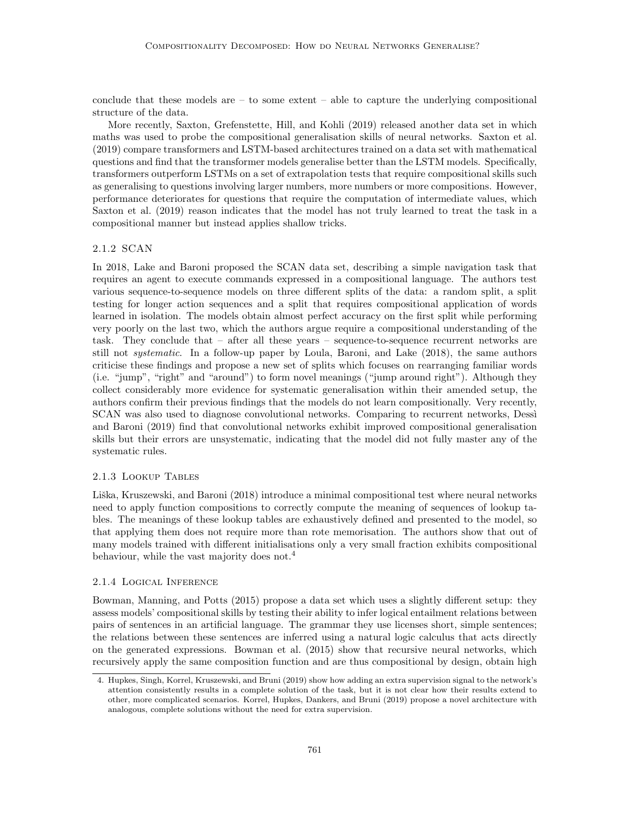conclude that these models are  $-$  to some extent  $-$  able to capture the underlying compositional structure of the data.

More recently, [Saxton, Grefenstette, Hill, and Kohli](#page-37-8) [\(2019\)](#page-37-8) released another data set in which maths was used to probe the compositional generalisation skills of neural networks. [Saxton et al.](#page-37-8) [\(2019\)](#page-37-8) compare transformers and LSTM-based architectures trained on a data set with mathematical questions and find that the transformer models generalise better than the LSTM models. Specifically, transformers outperform LSTMs on a set of extrapolation tests that require compositional skills such as generalising to questions involving larger numbers, more numbers or more compositions. However, performance deteriorates for questions that require the computation of intermediate values, which [Saxton et al.](#page-37-8) [\(2019\)](#page-37-8) reason indicates that the model has not truly learned to treat the task in a compositional manner but instead applies shallow tricks.

## 2.1.2 SCAN

In 2018, [Lake and Baroni](#page-36-4) proposed the SCAN data set, describing a simple navigation task that requires an agent to execute commands expressed in a compositional language. The authors test various sequence-to-sequence models on three different splits of the data: a random split, a split testing for longer action sequences and a split that requires compositional application of words learned in isolation. The models obtain almost perfect accuracy on the first split while performing very poorly on the last two, which the authors argue require a compositional understanding of the task. They conclude that – after all these years – sequence-to-sequence recurrent networks are still not systematic. In a follow-up paper by [Loula, Baroni, and Lake](#page-36-10) [\(2018\)](#page-36-10), the same authors criticise these findings and propose a new set of splits which focuses on rearranging familiar words (i.e. "jump", "right" and "around") to form novel meanings ("jump around right"). Although they collect considerably more evidence for systematic generalisation within their amended setup, the authors confirm their previous findings that the models do not learn compositionally. Very recently, SCAN was also used to diagnose convolutional networks. Comparing to recurrent networks, Dessi [and Baroni](#page-35-9) [\(2019\)](#page-35-9) find that convolutional networks exhibit improved compositional generalisation skills but their errors are unsystematic, indicating that the model did not fully master any of the systematic rules.

## 2.1.3 Lookup Tables

Liška, Kruszewski, and Baroni [\(2018\)](#page-36-11) introduce a minimal compositional test where neural networks need to apply function compositions to correctly compute the meaning of sequences of lookup tables. The meanings of these lookup tables are exhaustively defined and presented to the model, so that applying them does not require more than rote memorisation. The authors show that out of many models trained with different initialisations only a very small fraction exhibits compositional behaviour, while the vast majority does not.<sup>[4](#page-4-0)</sup>

## 2.1.4 Logical Inference

[Bowman, Manning, and Potts](#page-34-5) [\(2015\)](#page-34-5) propose a data set which uses a slightly different setup: they assess models' compositional skills by testing their ability to infer logical entailment relations between pairs of sentences in an artificial language. The grammar they use licenses short, simple sentences; the relations between these sentences are inferred using a natural logic calculus that acts directly on the generated expressions. [Bowman et al.](#page-34-5) [\(2015\)](#page-34-5) show that recursive neural networks, which recursively apply the same composition function and are thus compositional by design, obtain high

<span id="page-4-0"></span><sup>4.</sup> [Hupkes, Singh, Korrel, Kruszewski, and Bruni](#page-35-10) [\(2019\)](#page-35-10) show how adding an extra supervision signal to the network's attention consistently results in a complete solution of the task, but it is not clear how their results extend to other, more complicated scenarios. [Korrel, Hupkes, Dankers, and Bruni](#page-36-12) [\(2019\)](#page-36-12) propose a novel architecture with analogous, complete solutions without the need for extra supervision.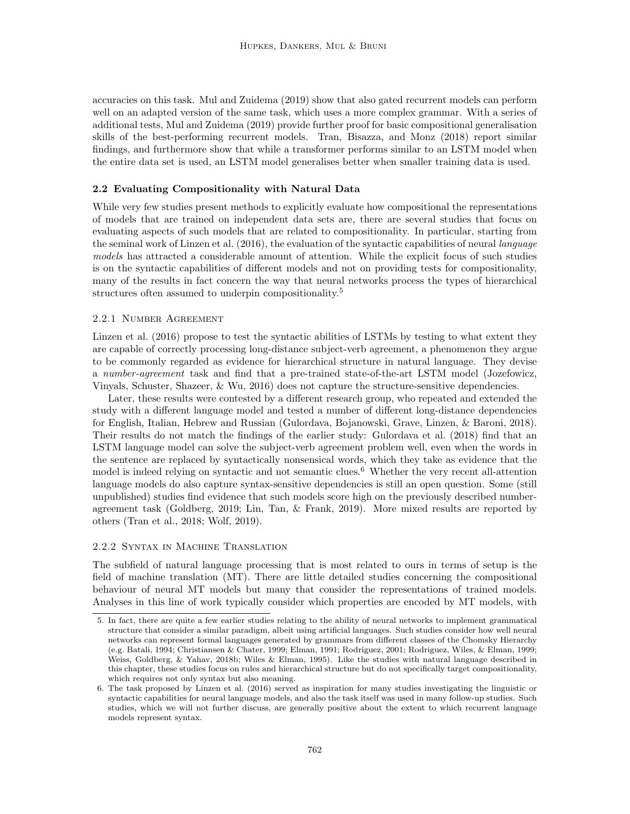accuracies on this task. [Mul and Zuidema](#page-37-9) [\(2019\)](#page-37-9) show that also gated recurrent models can perform well on an adapted version of the same task, which uses a more complex grammar. With a series of additional tests, [Mul and Zuidema](#page-37-9) [\(2019\)](#page-37-9) provide further proof for basic compositional generalisation skills of the best-performing recurrent models. [Tran, Bisazza, and Monz](#page-38-10) [\(2018\)](#page-38-10) report similar findings, and furthermore show that while a transformer performs similar to an LSTM model when the entire data set is used, an LSTM model generalises better when smaller training data is used.

## 2.2 Evaluating Compositionality with Natural Data

While very few studies present methods to explicitly evaluate how compositional the representations of models that are trained on independent data sets are, there are several studies that focus on evaluating aspects of such models that are related to compositionality. In particular, starting from the seminal work of [Linzen et al.](#page-36-6)  $(2016)$ , the evaluation of the syntactic capabilities of neural *language* models has attracted a considerable amount of attention. While the explicit focus of such studies is on the syntactic capabilities of different models and not on providing tests for compositionality, many of the results in fact concern the way that neural networks process the types of hierarchical structures often assumed to underpin compositionality.<sup>[5](#page-5-0)</sup>

## 2.2.1 Number Agreement

[Linzen et al.](#page-36-6) [\(2016\)](#page-36-6) propose to test the syntactic abilities of LSTMs by testing to what extent they are capable of correctly processing long-distance subject-verb agreement, a phenomenon they argue to be commonly regarded as evidence for hierarchical structure in natural language. They devise a number-agreement task and find that a pre-trained state-of-the-art LSTM model [\(Jozefowicz,](#page-36-13) [Vinyals, Schuster, Shazeer, & Wu, 2016\)](#page-36-13) does not capture the structure-sensitive dependencies.

Later, these results were contested by a different research group, who repeated and extended the study with a different language model and tested a number of different long-distance dependencies for English, Italian, Hebrew and Russian [\(Gulordava, Bojanowski, Grave, Linzen, & Baroni, 2018\)](#page-35-11). Their results do not match the findings of the earlier study: [Gulordava et al.](#page-35-11) [\(2018\)](#page-35-11) find that an LSTM language model can solve the subject-verb agreement problem well, even when the words in the sentence are replaced by syntactically nonsensical words, which they take as evidence that the model is indeed relying on syntactic and not semantic clues.<sup>[6](#page-5-1)</sup> Whether the very recent all-attention language models do also capture syntax-sensitive dependencies is still an open question. Some (still unpublished) studies find evidence that such models score high on the previously described numberagreement task [\(Goldberg, 2019;](#page-35-12) [Lin, Tan, & Frank, 2019\)](#page-36-14). More mixed results are reported by others [\(Tran et al., 2018;](#page-38-10) [Wolf, 2019\)](#page-38-11).

## 2.2.2 Syntax in Machine Translation

The subfield of natural language processing that is most related to ours in terms of setup is the field of machine translation (MT). There are little detailed studies concerning the compositional behaviour of neural MT models but many that consider the representations of trained models. Analyses in this line of work typically consider which properties are encoded by MT models, with

<span id="page-5-0"></span><sup>5.</sup> In fact, there are quite a few earlier studies relating to the ability of neural networks to implement grammatical structure that consider a similar paradigm, albeit using artificial languages. Such studies consider how well neural networks can represent formal languages generated by grammars from different classes of the Chomsky Hierarchy (e.g. [Batali, 1994;](#page-34-6) [Christiansen & Chater, 1999;](#page-35-13) [Elman, 1991;](#page-35-14) [Rodriguez, 2001;](#page-37-10) [Rodriguez, Wiles, & Elman, 1999;](#page-37-11) [Weiss, Goldberg, & Yahav, 2018b;](#page-38-12) [Wiles & Elman, 1995\)](#page-38-13). Like the studies with natural language described in this chapter, these studies focus on rules and hierarchical structure but do not specifically target compositionality, which requires not only syntax but also meaning.

<span id="page-5-1"></span><sup>6.</sup> The task proposed by [Linzen et al.](#page-36-6) [\(2016\)](#page-36-6) served as inspiration for many studies investigating the linguistic or syntactic capabilities for neural language models, and also the task itself was used in many follow-up studies. Such studies, which we will not further discuss, are generally positive about the extent to which recurrent language models represent syntax.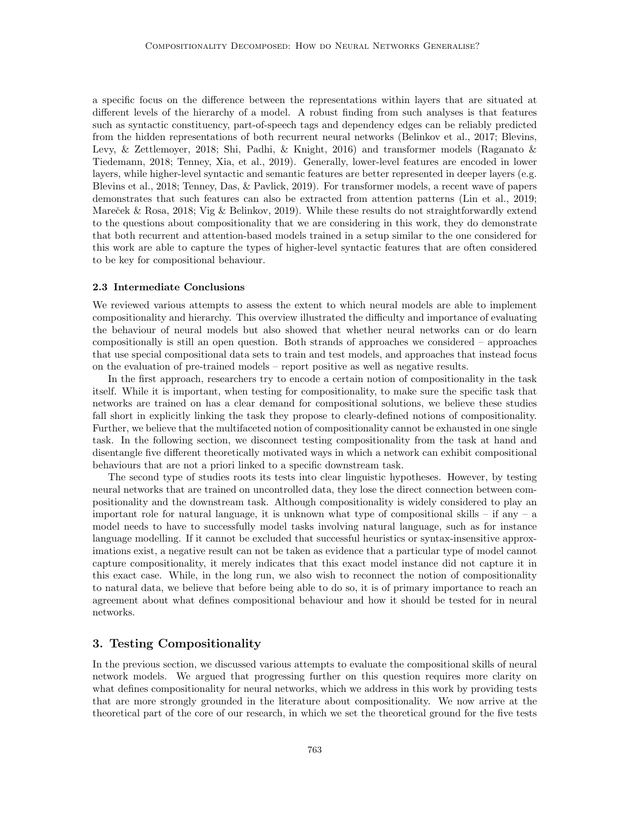a specific focus on the difference between the representations within layers that are situated at different levels of the hierarchy of a model. A robust finding from such analyses is that features such as syntactic constituency, part-of-speech tags and dependency edges can be reliably predicted from the hidden representations of both recurrent neural networks [\(Belinkov et al., 2017;](#page-34-7) [Blevins,](#page-34-8) [Levy, & Zettlemoyer, 2018;](#page-34-8) [Shi, Padhi, & Knight, 2016\)](#page-38-14) and transformer models [\(Raganato &](#page-37-12) [Tiedemann, 2018;](#page-37-12) [Tenney, Xia, et al., 2019\)](#page-38-15). Generally, lower-level features are encoded in lower layers, while higher-level syntactic and semantic features are better represented in deeper layers (e.g. [Blevins et al., 2018;](#page-34-8) [Tenney, Das, & Pavlick, 2019\)](#page-38-16). For transformer models, a recent wave of papers demonstrates that such features can also be extracted from attention patterns [\(Lin et al., 2019;](#page-36-14) Mareček & Rosa, 2018; [Vig & Belinkov, 2019\)](#page-38-17). While these results do not straightforwardly extend to the questions about compositionality that we are considering in this work, they do demonstrate that both recurrent and attention-based models trained in a setup similar to the one considered for this work are able to capture the types of higher-level syntactic features that are often considered to be key for compositional behaviour.

## 2.3 Intermediate Conclusions

We reviewed various attempts to assess the extent to which neural models are able to implement compositionality and hierarchy. This overview illustrated the difficulty and importance of evaluating the behaviour of neural models but also showed that whether neural networks can or do learn compositionally is still an open question. Both strands of approaches we considered – approaches that use special compositional data sets to train and test models, and approaches that instead focus on the evaluation of pre-trained models – report positive as well as negative results.

In the first approach, researchers try to encode a certain notion of compositionality in the task itself. While it is important, when testing for compositionality, to make sure the specific task that networks are trained on has a clear demand for compositional solutions, we believe these studies fall short in explicitly linking the task they propose to clearly-defined notions of compositionality. Further, we believe that the multifaceted notion of compositionality cannot be exhausted in one single task. In the following section, we disconnect testing compositionality from the task at hand and disentangle five different theoretically motivated ways in which a network can exhibit compositional behaviours that are not a priori linked to a specific downstream task.

The second type of studies roots its tests into clear linguistic hypotheses. However, by testing neural networks that are trained on uncontrolled data, they lose the direct connection between compositionality and the downstream task. Although compositionality is widely considered to play an important role for natural language, it is unknown what type of compositional skills – if any – a model needs to have to successfully model tasks involving natural language, such as for instance language modelling. If it cannot be excluded that successful heuristics or syntax-insensitive approximations exist, a negative result can not be taken as evidence that a particular type of model cannot capture compositionality, it merely indicates that this exact model instance did not capture it in this exact case. While, in the long run, we also wish to reconnect the notion of compositionality to natural data, we believe that before being able to do so, it is of primary importance to reach an agreement about what defines compositional behaviour and how it should be tested for in neural networks.

## <span id="page-6-0"></span>3. Testing Compositionality

In the previous section, we discussed various attempts to evaluate the compositional skills of neural network models. We argued that progressing further on this question requires more clarity on what defines compositionality for neural networks, which we address in this work by providing tests that are more strongly grounded in the literature about compositionality. We now arrive at the theoretical part of the core of our research, in which we set the theoretical ground for the five tests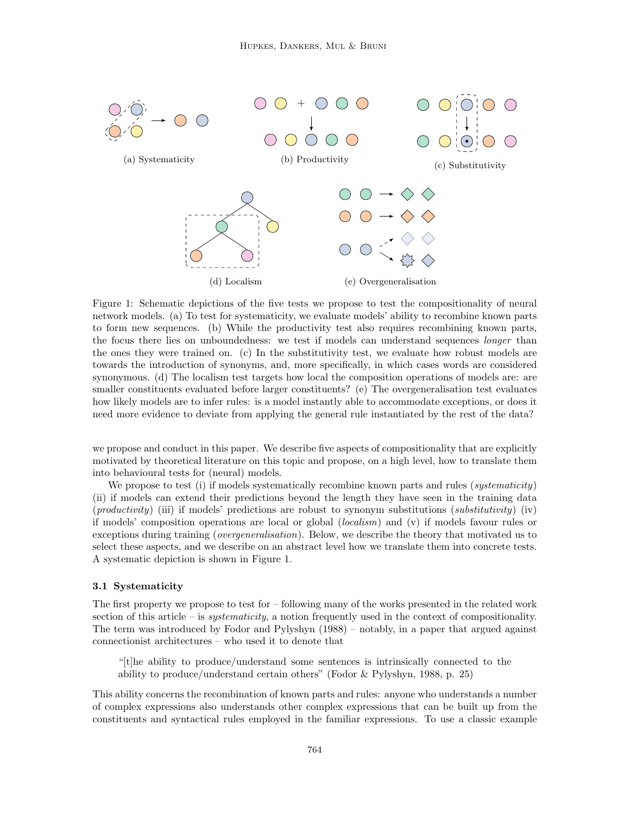<span id="page-7-0"></span>

Figure 1: Schematic depictions of the five tests we propose to test the compositionality of neural network models. (a) To test for systematicity, we evaluate models' ability to recombine known parts to form new sequences. (b) While the productivity test also requires recombining known parts, the focus there lies on unboundedness: we test if models can understand sequences *longer* than the ones they were trained on. (c) In the substitutivity test, we evaluate how robust models are towards the introduction of synonyms, and, more specifically, in which cases words are considered synonymous. (d) The localism test targets how local the composition operations of models are: are smaller constituents evaluated before larger constituents? (e) The overgeneralisation test evaluates how likely models are to infer rules: is a model instantly able to accommodate exceptions, or does it need more evidence to deviate from applying the general rule instantiated by the rest of the data?

we propose and conduct in this paper. We describe five aspects of compositionality that are explicitly motivated by theoretical literature on this topic and propose, on a high level, how to translate them into behavioural tests for (neural) models.

We propose to test (i) if models systematically recombine known parts and rules (systematicity) (ii) if models can extend their predictions beyond the length they have seen in the training data  $(productivity)$  (iii) if models' predictions are robust to synonym substitutions (substitutivity) (iv) if models' composition operations are local or global (localism) and (v) if models favour rules or exceptions during training (*overgeneralisation*). Below, we describe the theory that motivated us to select these aspects, and we describe on an abstract level how we translate them into concrete tests. A systematic depiction is shown in Figure [1.](#page-7-0)

## 3.1 Systematicity

The first property we propose to test for – following many of the works presented in the related work section of this article – is *systematicity*, a notion frequently used in the context of compositionality. The term was introduced by [Fodor and Pylyshyn](#page-35-7) [\(1988\)](#page-35-7) – notably, in a paper that argued against connectionist architectures – who used it to denote that

"[t]he ability to produce/understand some sentences is intrinsically connected to the ability to produce/understand certain others" [\(Fodor & Pylyshyn, 1988,](#page-35-7) p. 25)

This ability concerns the recombination of known parts and rules: anyone who understands a number of complex expressions also understands other complex expressions that can be built up from the constituents and syntactical rules employed in the familiar expressions. To use a classic example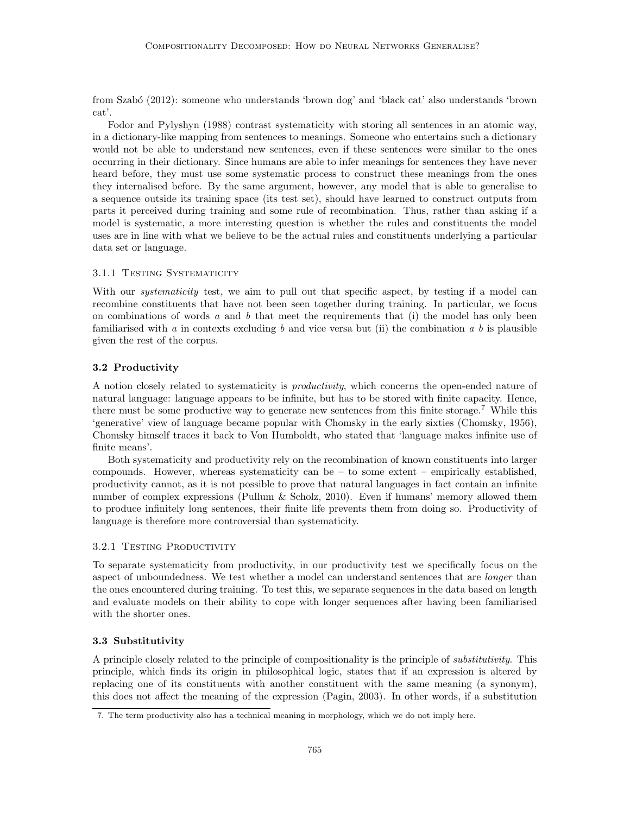from [Szab´o](#page-38-18) [\(2012\)](#page-38-18): someone who understands 'brown dog' and 'black cat' also understands 'brown cat'.

[Fodor and Pylyshyn](#page-35-7) [\(1988\)](#page-35-7) contrast systematicity with storing all sentences in an atomic way, in a dictionary-like mapping from sentences to meanings. Someone who entertains such a dictionary would not be able to understand new sentences, even if these sentences were similar to the ones occurring in their dictionary. Since humans are able to infer meanings for sentences they have never heard before, they must use some systematic process to construct these meanings from the ones they internalised before. By the same argument, however, any model that is able to generalise to a sequence outside its training space (its test set), should have learned to construct outputs from parts it perceived during training and some rule of recombination. Thus, rather than asking if a model is systematic, a more interesting question is whether the rules and constituents the model uses are in line with what we believe to be the actual rules and constituents underlying a particular data set or language.

#### 3.1.1 Testing Systematicity

With our *systematicity* test, we aim to pull out that specific aspect, by testing if a model can recombine constituents that have not been seen together during training. In particular, we focus on combinations of words  $a$  and  $b$  that meet the requirements that (i) the model has only been familiarised with a in contexts excluding b and vice versa but (ii) the combination a b is plausible given the rest of the corpus.

## 3.2 Productivity

A notion closely related to systematicity is productivity, which concerns the open-ended nature of natural language: language appears to be infinite, but has to be stored with finite capacity. Hence, there must be some productive way to generate new sentences from this finite storage.[7](#page-8-0) While this 'generative' view of language became popular with Chomsky in the early sixties [\(Chomsky, 1956\)](#page-34-9), Chomsky himself traces it back to Von Humboldt, who stated that 'language makes infinite use of finite means'.

Both systematicity and productivity rely on the recombination of known constituents into larger compounds. However, whereas systematicity can be  $-$  to some extent  $-$  empirically established, productivity cannot, as it is not possible to prove that natural languages in fact contain an infinite number of complex expressions [\(Pullum & Scholz, 2010\)](#page-37-14). Even if humans' memory allowed them to produce infinitely long sentences, their finite life prevents them from doing so. Productivity of language is therefore more controversial than systematicity.

## 3.2.1 TESTING PRODUCTIVITY

To separate systematicity from productivity, in our productivity test we specifically focus on the aspect of unboundedness. We test whether a model can understand sentences that are *longer* than the ones encountered during training. To test this, we separate sequences in the data based on length and evaluate models on their ability to cope with longer sequences after having been familiarised with the shorter ones.

## 3.3 Substitutivity

A principle closely related to the principle of compositionality is the principle of substitutivity. This principle, which finds its origin in philosophical logic, states that if an expression is altered by replacing one of its constituents with another constituent with the same meaning (a synonym), this does not affect the meaning of the expression [\(Pagin, 2003\)](#page-37-15). In other words, if a substitution

<span id="page-8-0"></span><sup>7.</sup> The term productivity also has a technical meaning in morphology, which we do not imply here.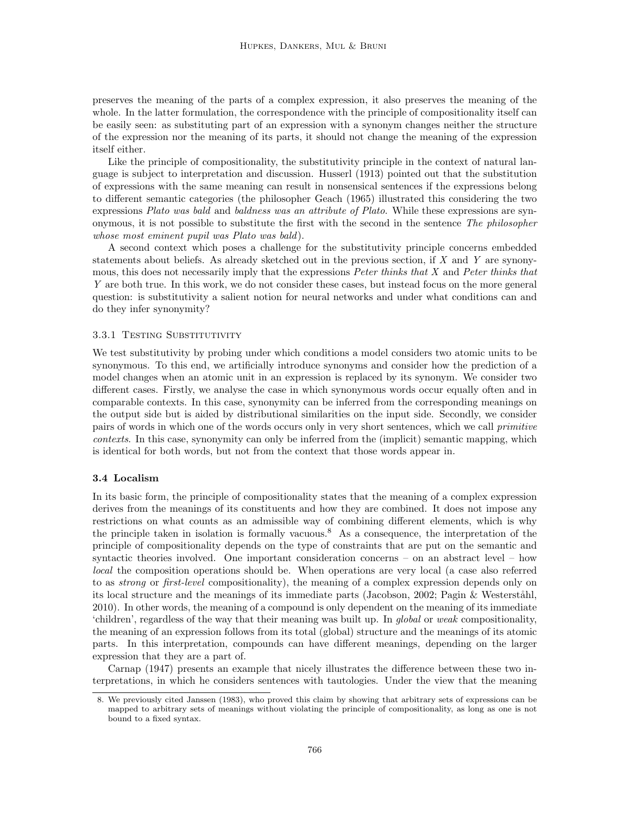preserves the meaning of the parts of a complex expression, it also preserves the meaning of the whole. In the latter formulation, the correspondence with the principle of compositionality itself can be easily seen: as substituting part of an expression with a synonym changes neither the structure of the expression nor the meaning of its parts, it should not change the meaning of the expression itself either.

Like the principle of compositionality, the substitutivity principle in the context of natural language is subject to interpretation and discussion. [Husserl](#page-36-15) [\(1913\)](#page-36-15) pointed out that the substitution of expressions with the same meaning can result in nonsensical sentences if the expressions belong to different semantic categories (the philosopher Geach (1965) illustrated this considering the two expressions Plato was bald and baldness was an attribute of Plato. While these expressions are synonymous, it is not possible to substitute the first with the second in the sentence The philosopher whose most eminent pupil was Plato was bald).

A second context which poses a challenge for the substitutivity principle concerns embedded statements about beliefs. As already sketched out in the previous section, if  $X$  and  $Y$  are synonymous, this does not necessarily imply that the expressions Peter thinks that X and Peter thinks that Y are both true. In this work, we do not consider these cases, but instead focus on the more general question: is substitutivity a salient notion for neural networks and under what conditions can and do they infer synonymity?

## 3.3.1 TESTING SUBSTITUTIVITY

We test substitutivity by probing under which conditions a model considers two atomic units to be synonymous. To this end, we artificially introduce synonyms and consider how the prediction of a model changes when an atomic unit in an expression is replaced by its synonym. We consider two different cases. Firstly, we analyse the case in which synonymous words occur equally often and in comparable contexts. In this case, synonymity can be inferred from the corresponding meanings on the output side but is aided by distributional similarities on the input side. Secondly, we consider pairs of words in which one of the words occurs only in very short sentences, which we call primitive contexts. In this case, synonymity can only be inferred from the (implicit) semantic mapping, which is identical for both words, but not from the context that those words appear in.

## 3.4 Localism

In its basic form, the principle of compositionality states that the meaning of a complex expression derives from the meanings of its constituents and how they are combined. It does not impose any restrictions on what counts as an admissible way of combining different elements, which is why the principle taken in isolation is formally vacuous.<sup>[8](#page-9-0)</sup> As a consequence, the interpretation of the principle of compositionality depends on the type of constraints that are put on the semantic and syntactic theories involved. One important consideration concerns – on an abstract level – how local the composition operations should be. When operations are very local (a case also referred to as *strong* or *first-level* compositionality), the meaning of a complex expression depends only on its local structure and the meanings of its immediate parts [\(Jacobson, 2002;](#page-36-16) Pagin  $&$  Westerståhl, [2010\)](#page-37-16). In other words, the meaning of a compound is only dependent on the meaning of its immediate 'children', regardless of the way that their meaning was built up. In global or weak compositionality, the meaning of an expression follows from its total (global) structure and the meanings of its atomic parts. In this interpretation, compounds can have different meanings, depending on the larger expression that they are a part of.

[Carnap](#page-34-10) [\(1947\)](#page-34-10) presents an example that nicely illustrates the difference between these two interpretations, in which he considers sentences with tautologies. Under the view that the meaning

<span id="page-9-0"></span><sup>8.</sup> We previously cited [Janssen](#page-36-8) [\(1983\)](#page-36-8), who proved this claim by showing that arbitrary sets of expressions can be mapped to arbitrary sets of meanings without violating the principle of compositionality, as long as one is not bound to a fixed syntax.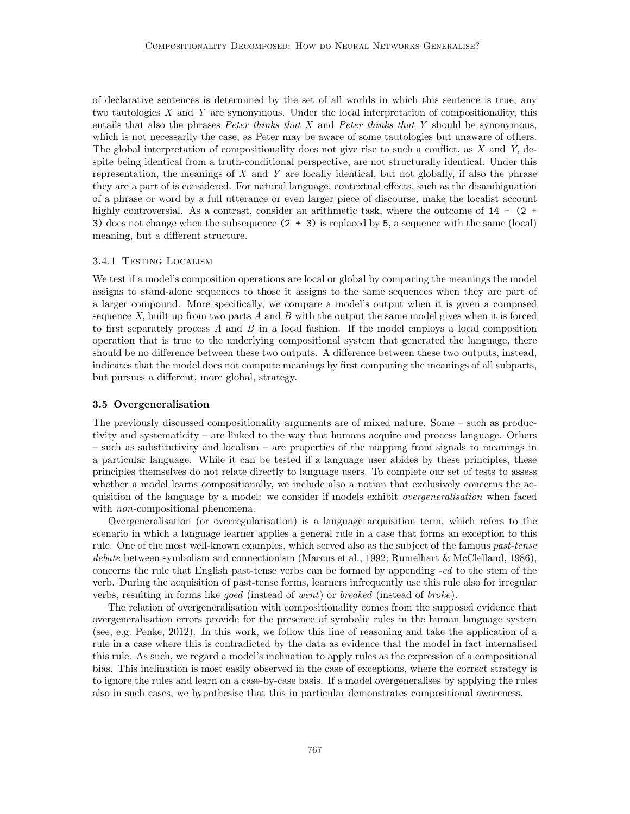of declarative sentences is determined by the set of all worlds in which this sentence is true, any two tautologies  $X$  and  $Y$  are synonymous. Under the local interpretation of compositionality, this entails that also the phrases *Peter thinks that X* and *Peter thinks that Y* should be synonymous, which is not necessarily the case, as Peter may be aware of some tautologies but unaware of others. The global interpretation of compositionality does not give rise to such a conflict, as  $X$  and  $Y$ , despite being identical from a truth-conditional perspective, are not structurally identical. Under this representation, the meanings of  $X$  and  $Y$  are locally identical, but not globally, if also the phrase they are a part of is considered. For natural language, contextual effects, such as the disambiguation of a phrase or word by a full utterance or even larger piece of discourse, make the localist account highly controversial. As a contrast, consider an arithmetic task, where the outcome of  $14 - (2 +$ 3) does not change when the subsequence  $(2 + 3)$  is replaced by 5, a sequence with the same (local) meaning, but a different structure.

## 3.4.1 Testing Localism

We test if a model's composition operations are local or global by comparing the meanings the model assigns to stand-alone sequences to those it assigns to the same sequences when they are part of a larger compound. More specifically, we compare a model's output when it is given a composed sequence X, built up from two parts  $A$  and  $B$  with the output the same model gives when it is forced to first separately process A and B in a local fashion. If the model employs a local composition operation that is true to the underlying compositional system that generated the language, there should be no difference between these two outputs. A difference between these two outputs, instead, indicates that the model does not compute meanings by first computing the meanings of all subparts, but pursues a different, more global, strategy.

#### 3.5 Overgeneralisation

The previously discussed compositionality arguments are of mixed nature. Some – such as productivity and systematicity – are linked to the way that humans acquire and process language. Others – such as substitutivity and localism – are properties of the mapping from signals to meanings in a particular language. While it can be tested if a language user abides by these principles, these principles themselves do not relate directly to language users. To complete our set of tests to assess whether a model learns compositionally, we include also a notion that exclusively concerns the acquisition of the language by a model: we consider if models exhibit *overgeneralisation* when faced with *non*-compositional phenomena.

Overgeneralisation (or overregularisation) is a language acquisition term, which refers to the scenario in which a language learner applies a general rule in a case that forms an exception to this rule. One of the most well-known examples, which served also as the subject of the famous past-tense debate between symbolism and connectionism [\(Marcus et al., 1992;](#page-37-17) [Rumelhart & McClelland, 1986\)](#page-37-18), concerns the rule that English past-tense verbs can be formed by appending -ed to the stem of the verb. During the acquisition of past-tense forms, learners infrequently use this rule also for irregular verbs, resulting in forms like goed (instead of went) or breaked (instead of broke).

The relation of overgeneralisation with compositionality comes from the supposed evidence that overgeneralisation errors provide for the presence of symbolic rules in the human language system (see, e.g. [Penke, 2012\)](#page-37-19). In this work, we follow this line of reasoning and take the application of a rule in a case where this is contradicted by the data as evidence that the model in fact internalised this rule. As such, we regard a model's inclination to apply rules as the expression of a compositional bias. This inclination is most easily observed in the case of exceptions, where the correct strategy is to ignore the rules and learn on a case-by-case basis. If a model overgeneralises by applying the rules also in such cases, we hypothesise that this in particular demonstrates compositional awareness.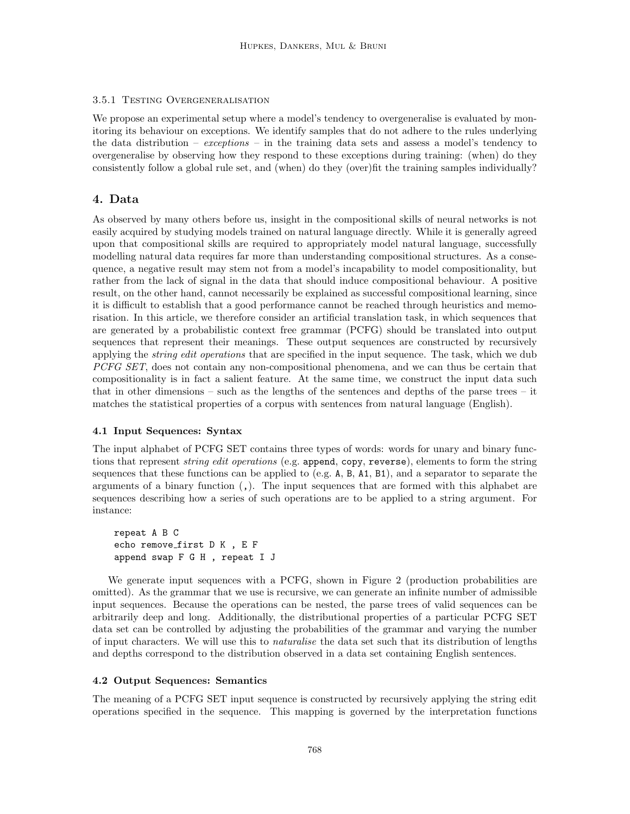## 3.5.1 Testing Overgeneralisation

We propose an experimental setup where a model's tendency to overgeneralise is evaluated by monitoring its behaviour on exceptions. We identify samples that do not adhere to the rules underlying the data distribution – exceptions – in the training data sets and assess a model's tendency to overgeneralise by observing how they respond to these exceptions during training: (when) do they consistently follow a global rule set, and (when) do they (over)fit the training samples individually?

## <span id="page-11-0"></span>4. Data

As observed by many others before us, insight in the compositional skills of neural networks is not easily acquired by studying models trained on natural language directly. While it is generally agreed upon that compositional skills are required to appropriately model natural language, successfully modelling natural data requires far more than understanding compositional structures. As a consequence, a negative result may stem not from a model's incapability to model compositionality, but rather from the lack of signal in the data that should induce compositional behaviour. A positive result, on the other hand, cannot necessarily be explained as successful compositional learning, since it is difficult to establish that a good performance cannot be reached through heuristics and memorisation. In this article, we therefore consider an artificial translation task, in which sequences that are generated by a probabilistic context free grammar (PCFG) should be translated into output sequences that represent their meanings. These output sequences are constructed by recursively applying the *string edit operations* that are specified in the input sequence. The task, which we dub PCFG SET, does not contain any non-compositional phenomena, and we can thus be certain that compositionality is in fact a salient feature. At the same time, we construct the input data such that in other dimensions – such as the lengths of the sentences and depths of the parse trees – it matches the statistical properties of a corpus with sentences from natural language (English).

## 4.1 Input Sequences: Syntax

The input alphabet of PCFG SET contains three types of words: words for unary and binary functions that represent *string edit operations* (e.g. append, copy, reverse), elements to form the string sequences that these functions can be applied to (e.g. A, B, A1, B1), and a separator to separate the arguments of a binary function  $($ , $)$ . The input sequences that are formed with this alphabet are sequences describing how a series of such operations are to be applied to a string argument. For instance:

repeat A B C echo remove first D K , E F append swap F G H , repeat I J

We generate input sequences with a PCFG, shown in Figure [2](#page-12-0) (production probabilities are omitted). As the grammar that we use is recursive, we can generate an infinite number of admissible input sequences. Because the operations can be nested, the parse trees of valid sequences can be arbitrarily deep and long. Additionally, the distributional properties of a particular PCFG SET data set can be controlled by adjusting the probabilities of the grammar and varying the number of input characters. We will use this to *naturalise* the data set such that its distribution of lengths and depths correspond to the distribution observed in a data set containing English sentences.

## 4.2 Output Sequences: Semantics

The meaning of a PCFG SET input sequence is constructed by recursively applying the string edit operations specified in the sequence. This mapping is governed by the interpretation functions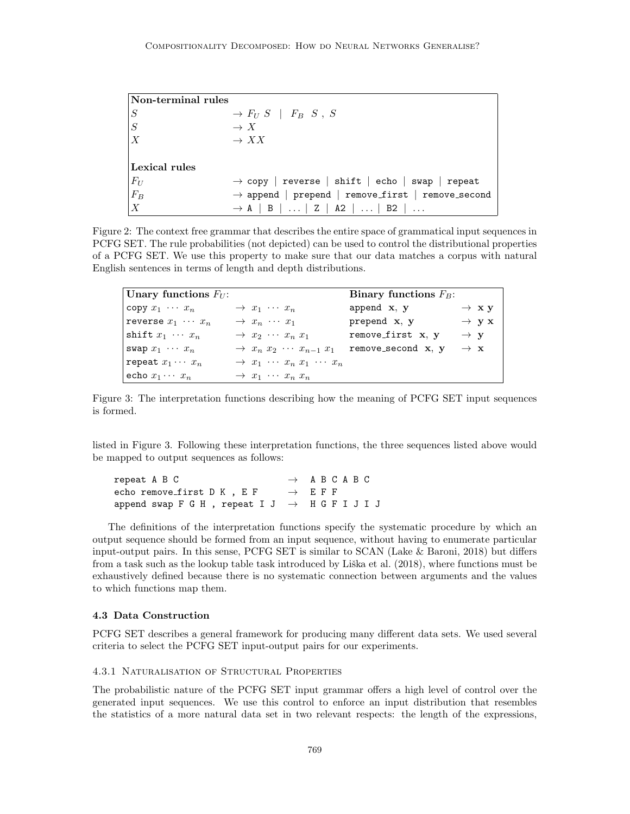<span id="page-12-0"></span>

| $\mathbf{\color{orange}Non-terminal}$ rules |                                                               |
|---------------------------------------------|---------------------------------------------------------------|
| S                                           | $\rightarrow$ $F_U S$   $F_B S$ , S                           |
| S                                           | $\rightarrow X$                                               |
| $\overline{X}$                              | $\rightarrow XX$                                              |
|                                             |                                                               |
| Lexical rules                               |                                                               |
| $ F_U $                                     | $\rightarrow$ copy   reverse   shift   echo   swap   repeat   |
| $F_B$                                       | $\rightarrow$ append   prepend   remove_first   remove_second |
| $\vert X \vert$                             | $\rightarrow$ A   B      Z   A2      B2                       |

Figure 2: The context free grammar that describes the entire space of grammatical input sequences in PCFG SET. The rule probabilities (not depicted) can be used to control the distributional properties of a PCFG SET. We use this property to make sure that our data matches a corpus with natural English sentences in terms of length and depth distributions.

<span id="page-12-1"></span>

| Unary functions $F_U$ :  |                                                         | Binary functions $F_B$ : |                   |
|--------------------------|---------------------------------------------------------|--------------------------|-------------------|
| copy $x_1 \cdots x_n$    | $\rightarrow x_1 \cdots x_n$                            | append x, y              | $\rightarrow$ xy  |
| reverse $x_1 \cdots x_n$ | $\rightarrow x_n \cdots x_1$                            | prepend $x, y$           | $\rightarrow$ y x |
| shift $x_1 \cdots x_n$   | $\rightarrow$ $x_2$ $\cdots$ $x_n$ $x_1$                | remove_first x, y        | $\rightarrow y$   |
| swap $x_1 \cdots x_n$    | $\rightarrow$ $x_n$ $x_2$ $\cdots$ $x_{n-1}$ $x_1$      | $remove\_second$ $x, y$  | $\rightarrow x$   |
| repeat $x_1 \cdots x_n$  | $\rightarrow$ $x_1$ $\cdots$ $x_n$ $x_1$ $\cdots$ $x_n$ |                          |                   |
| echo $x_1 \cdots x_n$    | $\rightarrow$ $x_1$ $\cdots$ $x_n$ $x_n$                |                          |                   |

Figure 3: The interpretation functions describing how the meaning of PCFG SET input sequences is formed.

listed in Figure [3.](#page-12-1) Following these interpretation functions, the three sequences listed above would be mapped to output sequences as follows:

repeat A B C  $\rightarrow$  A B C A B C echo remove\_first D K , E F  $\rightarrow$  E F F append swap F G H , repeat I J  $\rightarrow$  H G F I J I J

The definitions of the interpretation functions specify the systematic procedure by which an output sequence should be formed from an input sequence, without having to enumerate particular input-output pairs. In this sense, PCFG SET is similar to SCAN [\(Lake & Baroni, 2018\)](#page-36-4) but differs from a task such as the lookup table task introduced by Liška et al. [\(2018\)](#page-36-11), where functions must be exhaustively defined because there is no systematic connection between arguments and the values to which functions map them.

## <span id="page-12-2"></span>4.3 Data Construction

PCFG SET describes a general framework for producing many different data sets. We used several criteria to select the PCFG SET input-output pairs for our experiments.

## 4.3.1 Naturalisation of Structural Properties

The probabilistic nature of the PCFG SET input grammar offers a high level of control over the generated input sequences. We use this control to enforce an input distribution that resembles the statistics of a more natural data set in two relevant respects: the length of the expressions,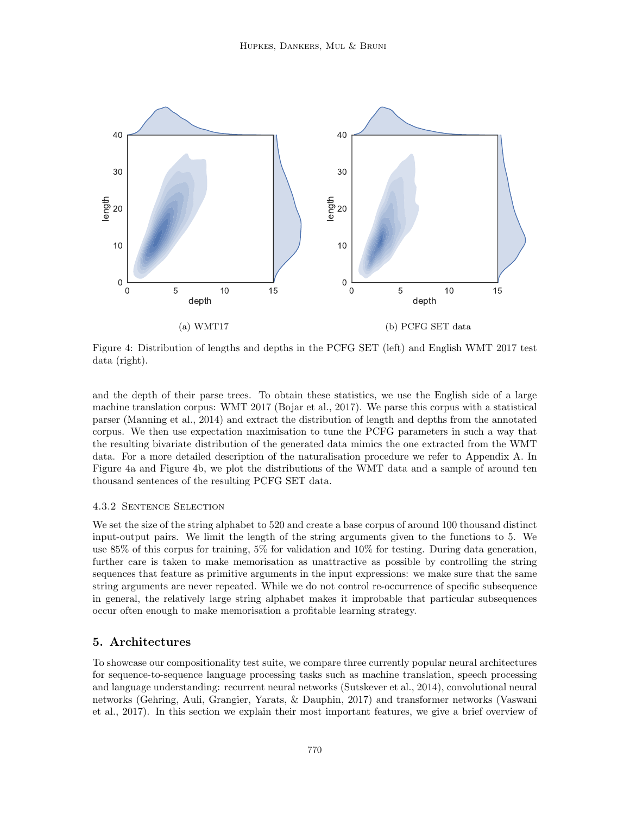<span id="page-13-1"></span>

Figure 4: Distribution of lengths and depths in the PCFG SET (left) and English WMT 2017 test data (right).

and the depth of their parse trees. To obtain these statistics, we use the English side of a large machine translation corpus: WMT 2017 [\(Bojar et al., 2017\)](#page-34-11). We parse this corpus with a statistical parser [\(Manning et al., 2014\)](#page-37-20) and extract the distribution of length and depths from the annotated corpus. We then use expectation maximisation to tune the PCFG parameters in such a way that the resulting bivariate distribution of the generated data mimics the one extracted from the WMT data. For a more detailed description of the naturalisation procedure we refer to Appendix [A.](#page-33-0) In Figure [4a](#page-13-1) and Figure [4b,](#page-13-1) we plot the distributions of the WMT data and a sample of around ten thousand sentences of the resulting PCFG SET data.

## 4.3.2 Sentence Selection

We set the size of the string alphabet to 520 and create a base corpus of around 100 thousand distinct input-output pairs. We limit the length of the string arguments given to the functions to 5. We use 85% of this corpus for training, 5% for validation and 10% for testing. During data generation, further care is taken to make memorisation as unattractive as possible by controlling the string sequences that feature as primitive arguments in the input expressions: we make sure that the same string arguments are never repeated. While we do not control re-occurrence of specific subsequence in general, the relatively large string alphabet makes it improbable that particular subsequences occur often enough to make memorisation a profitable learning strategy.

## <span id="page-13-0"></span>5. Architectures

To showcase our compositionality test suite, we compare three currently popular neural architectures for sequence-to-sequence language processing tasks such as machine translation, speech processing and language understanding: recurrent neural networks [\(Sutskever et al., 2014\)](#page-38-3), convolutional neural networks [\(Gehring, Auli, Grangier, Yarats, & Dauphin, 2017\)](#page-35-15) and transformer networks [\(Vaswani](#page-38-4) [et al., 2017\)](#page-38-4). In this section we explain their most important features, we give a brief overview of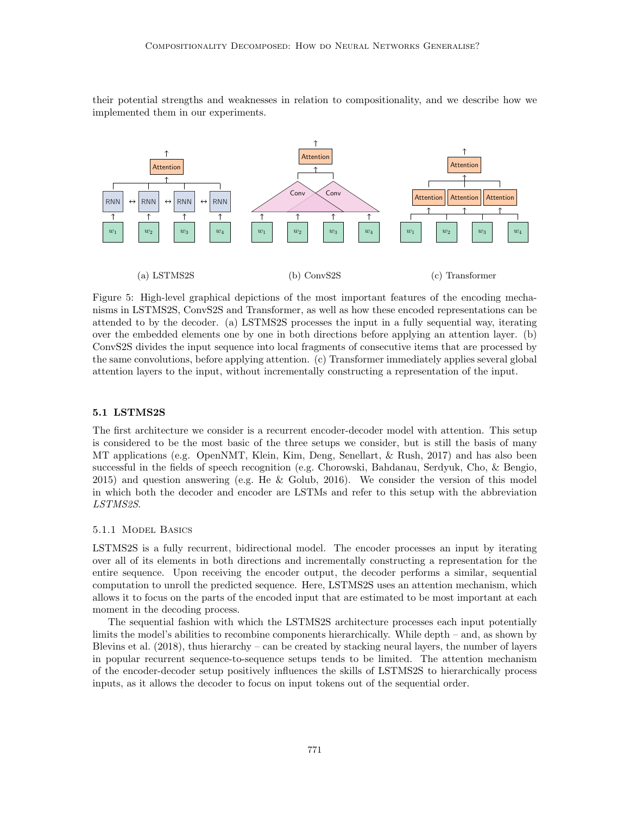their potential strengths and weaknesses in relation to compositionality, and we describe how we implemented them in our experiments.



Figure 5: High-level graphical depictions of the most important features of the encoding mechanisms in LSTMS2S, ConvS2S and Transformer, as well as how these encoded representations can be attended to by the decoder. (a) LSTMS2S processes the input in a fully sequential way, iterating over the embedded elements one by one in both directions before applying an attention layer. (b) ConvS2S divides the input sequence into local fragments of consecutive items that are processed by the same convolutions, before applying attention. (c) Transformer immediately applies several global attention layers to the input, without incrementally constructing a representation of the input.

## 5.1 LSTMS2S

The first architecture we consider is a recurrent encoder-decoder model with attention. This setup is considered to be the most basic of the three setups we consider, but is still the basis of many MT applications (e.g. OpenNMT, [Klein, Kim, Deng, Senellart, & Rush, 2017\)](#page-36-17) and has also been successful in the fields of speech recognition (e.g. [Chorowski, Bahdanau, Serdyuk, Cho, & Bengio,](#page-35-16) [2015\)](#page-35-16) and question answering (e.g. [He & Golub, 2016\)](#page-35-17). We consider the version of this model in which both the decoder and encoder are LSTMs and refer to this setup with the abbreviation LSTMS2S.

## 5.1.1 Model Basics

LSTMS2S is a fully recurrent, bidirectional model. The encoder processes an input by iterating over all of its elements in both directions and incrementally constructing a representation for the entire sequence. Upon receiving the encoder output, the decoder performs a similar, sequential computation to unroll the predicted sequence. Here, LSTMS2S uses an attention mechanism, which allows it to focus on the parts of the encoded input that are estimated to be most important at each moment in the decoding process.

The sequential fashion with which the LSTMS2S architecture processes each input potentially limits the model's abilities to recombine components hierarchically. While depth – and, as shown by [Blevins et al.](#page-34-8) [\(2018\)](#page-34-8), thus hierarchy – can be created by stacking neural layers, the number of layers in popular recurrent sequence-to-sequence setups tends to be limited. The attention mechanism of the encoder-decoder setup positively influences the skills of LSTMS2S to hierarchically process inputs, as it allows the decoder to focus on input tokens out of the sequential order.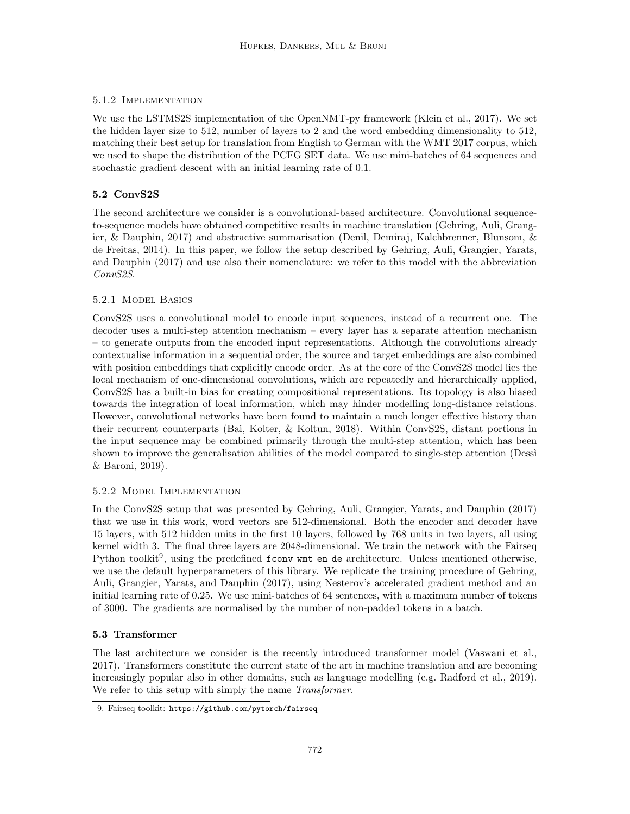## 5.1.2 Implementation

We use the LSTMS2S implementation of the OpenNMT-py framework [\(Klein et al., 2017\)](#page-36-17). We set the hidden layer size to 512, number of layers to 2 and the word embedding dimensionality to 512, matching their best setup for translation from English to German with the WMT 2017 corpus, which we used to shape the distribution of the PCFG SET data. We use mini-batches of 64 sequences and stochastic gradient descent with an initial learning rate of 0.1.

## 5.2 ConvS2S

The second architecture we consider is a convolutional-based architecture. Convolutional sequenceto-sequence models have obtained competitive results in machine translation [\(Gehring, Auli, Grang](#page-35-18)[ier, & Dauphin, 2017\)](#page-35-18) and abstractive summarisation [\(Denil, Demiraj, Kalchbrenner, Blunsom, &](#page-35-19) [de Freitas, 2014\)](#page-35-19). In this paper, we follow the setup described by [Gehring, Auli, Grangier, Yarats,](#page-35-15) [and Dauphin](#page-35-15) [\(2017\)](#page-35-15) and use also their nomenclature: we refer to this model with the abbreviation ConvS2S.

## 5.2.1 Model Basics

ConvS2S uses a convolutional model to encode input sequences, instead of a recurrent one. The decoder uses a multi-step attention mechanism – every layer has a separate attention mechanism – to generate outputs from the encoded input representations. Although the convolutions already contextualise information in a sequential order, the source and target embeddings are also combined with position embeddings that explicitly encode order. As at the core of the ConvS2S model lies the local mechanism of one-dimensional convolutions, which are repeatedly and hierarchically applied, ConvS2S has a built-in bias for creating compositional representations. Its topology is also biased towards the integration of local information, which may hinder modelling long-distance relations. However, convolutional networks have been found to maintain a much longer effective history than their recurrent counterparts [\(Bai, Kolter, & Koltun, 2018\)](#page-34-12). Within ConvS2S, distant portions in the input sequence may be combined primarily through the multi-step attention, which has been shown to improve the generalisation abilities of the model compared to single-step attention (Dessi [& Baroni, 2019\)](#page-35-9).

## 5.2.2 Model Implementation

In the ConvS2S setup that was presented by [Gehring, Auli, Grangier, Yarats, and Dauphin](#page-35-15) [\(2017\)](#page-35-15) that we use in this work, word vectors are 512-dimensional. Both the encoder and decoder have 15 layers, with 512 hidden units in the first 10 layers, followed by 768 units in two layers, all using kernel width 3. The final three layers are 2048-dimensional. We train the network with the Fairseq Python toolkit<sup>[9](#page-15-0)</sup>, using the predefined fconv\_wmt\_en\_de architecture. Unless mentioned otherwise, we use the default hyperparameters of this library. We replicate the training procedure of [Gehring,](#page-35-15) [Auli, Grangier, Yarats, and Dauphin](#page-35-15) [\(2017\)](#page-35-15), using Nesterov's accelerated gradient method and an initial learning rate of 0.25. We use mini-batches of 64 sentences, with a maximum number of tokens of 3000. The gradients are normalised by the number of non-padded tokens in a batch.

## 5.3 Transformer

The last architecture we consider is the recently introduced transformer model [\(Vaswani et al.,](#page-38-4) [2017\)](#page-38-4). Transformers constitute the current state of the art in machine translation and are becoming increasingly popular also in other domains, such as language modelling (e.g. [Radford et al., 2019\)](#page-37-21). We refer to this setup with simply the name Transformer.

<span id="page-15-0"></span><sup>9.</sup> Fairseq toolkit: <https://github.com/pytorch/fairseq>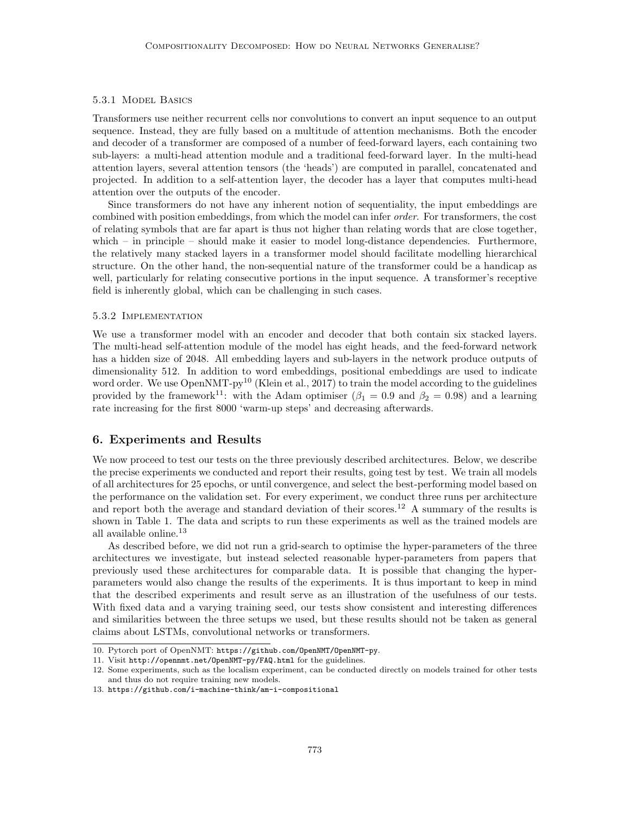## 5.3.1 Model Basics

Transformers use neither recurrent cells nor convolutions to convert an input sequence to an output sequence. Instead, they are fully based on a multitude of attention mechanisms. Both the encoder and decoder of a transformer are composed of a number of feed-forward layers, each containing two sub-layers: a multi-head attention module and a traditional feed-forward layer. In the multi-head attention layers, several attention tensors (the 'heads') are computed in parallel, concatenated and projected. In addition to a self-attention layer, the decoder has a layer that computes multi-head attention over the outputs of the encoder.

Since transformers do not have any inherent notion of sequentiality, the input embeddings are combined with position embeddings, from which the model can infer order. For transformers, the cost of relating symbols that are far apart is thus not higher than relating words that are close together, which – in principle – should make it easier to model long-distance dependencies. Furthermore, the relatively many stacked layers in a transformer model should facilitate modelling hierarchical structure. On the other hand, the non-sequential nature of the transformer could be a handicap as well, particularly for relating consecutive portions in the input sequence. A transformer's receptive field is inherently global, which can be challenging in such cases.

## 5.3.2 Implementation

We use a transformer model with an encoder and decoder that both contain six stacked layers. The multi-head self-attention module of the model has eight heads, and the feed-forward network has a hidden size of 2048. All embedding layers and sub-layers in the network produce outputs of dimensionality 512. In addition to word embeddings, positional embeddings are used to indicate word order. We use OpenNMT-py<sup>[10](#page-16-1)</sup> [\(Klein et al., 2017\)](#page-36-17) to train the model according to the guidelines provided by the framework<sup>[11](#page-16-2)</sup>: with the Adam optimiser ( $\beta_1 = 0.9$  and  $\beta_2 = 0.98$ ) and a learning rate increasing for the first 8000 'warm-up steps' and decreasing afterwards.

## <span id="page-16-0"></span>6. Experiments and Results

We now proceed to test our tests on the three previously described architectures. Below, we describe the precise experiments we conducted and report their results, going test by test. We train all models of all architectures for 25 epochs, or until convergence, and select the best-performing model based on the performance on the validation set. For every experiment, we conduct three runs per architecture and report both the average and standard deviation of their scores.<sup>[12](#page-16-3)</sup> A summary of the results is shown in Table [1.](#page-17-0) The data and scripts to run these experiments as well as the trained models are all available online.[13](#page-16-4)

As described before, we did not run a grid-search to optimise the hyper-parameters of the three architectures we investigate, but instead selected reasonable hyper-parameters from papers that previously used these architectures for comparable data. It is possible that changing the hyperparameters would also change the results of the experiments. It is thus important to keep in mind that the described experiments and result serve as an illustration of the usefulness of our tests. With fixed data and a varying training seed, our tests show consistent and interesting differences and similarities between the three setups we used, but these results should not be taken as general claims about LSTMs, convolutional networks or transformers.

<span id="page-16-1"></span><sup>10.</sup> Pytorch port of OpenNMT: <https://github.com/OpenNMT/OpenNMT-py>.

<span id="page-16-2"></span><sup>11.</sup> Visit <http://opennmt.net/OpenNMT-py/FAQ.html> for the guidelines.

<span id="page-16-3"></span><sup>12.</sup> Some experiments, such as the localism experiment, can be conducted directly on models trained for other tests and thus do not require training new models.

<span id="page-16-4"></span><sup>13.</sup> <https://github.com/i-machine-think/am-i-compositional>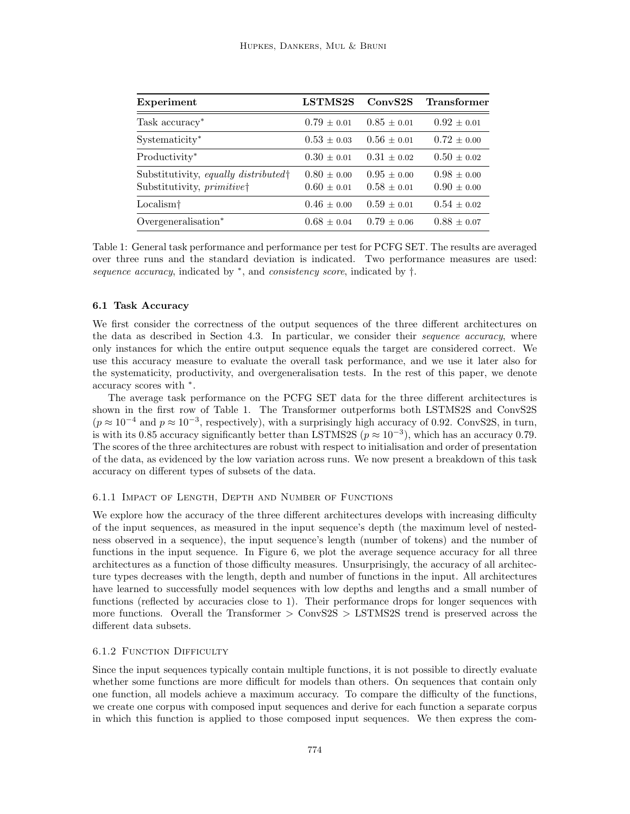<span id="page-17-0"></span>

| Experiment                                                        | LSTMS2S                        | ConvS2S                        | <b>Transformer</b>               |
|-------------------------------------------------------------------|--------------------------------|--------------------------------|----------------------------------|
| Task accuracy*                                                    | $0.79 + 0.01$                  | $0.85 + 0.01$                  | $0.92 \pm 0.01$                  |
| Systematicity*                                                    | $0.53 + 0.03$                  | $0.56 \pm 0.01$                | $0.72 \pm 0.00$                  |
| Productivity*                                                     | $0.30 + 0.01$                  | $0.31 \pm 0.02$                | $0.50 \pm 0.02$                  |
| Substitutivity, equally distributed<br>Substitutivity, primitive† | $0.80 + 0.00$<br>$0.60 + 0.01$ | $0.95 + 0.00$<br>$0.58 + 0.01$ | $0.98 \pm 0.00$<br>$0.90 + 0.00$ |
| Localism <sup>†</sup>                                             | $0.46 + 0.00$                  | $0.59 \pm 0.01$                | $0.54 \pm 0.02$                  |
| Overgeneralisation*                                               | $0.68 \pm 0.04$                | $0.79 + 0.06$                  | $0.88 + 0.07$                    |

Table 1: General task performance and performance per test for PCFG SET. The results are averaged over three runs and the standard deviation is indicated. Two performance measures are used: sequence accuracy, indicated by  $*$ , and consistency score, indicated by  $\dagger$ .

#### 6.1 Task Accuracy

We first consider the correctness of the output sequences of the three different architectures on the data as described in Section [4.3.](#page-12-2) In particular, we consider their *sequence accuracy*, where only instances for which the entire output sequence equals the target are considered correct. We use this accuracy measure to evaluate the overall task performance, and we use it later also for the systematicity, productivity, and overgeneralisation tests. In the rest of this paper, we denote accuracy scores with  $*$ .

The average task performance on the PCFG SET data for the three different architectures is shown in the first row of Table [1.](#page-17-0) The Transformer outperforms both LSTMS2S and ConvS2S  $(p \approx 10^{-4}$  and  $p \approx 10^{-3}$ , respectively), with a surprisingly high accuracy of 0.92. ConvS2S, in turn, is with its 0.85 accuracy significantly better than LSTMS2S ( $p \approx 10^{-3}$ ), which has an accuracy 0.79. The scores of the three architectures are robust with respect to initialisation and order of presentation of the data, as evidenced by the low variation across runs. We now present a breakdown of this task accuracy on different types of subsets of the data.

## 6.1.1 Impact of Length, Depth and Number of Functions

We explore how the accuracy of the three different architectures develops with increasing difficulty of the input sequences, as measured in the input sequence's depth (the maximum level of nestedness observed in a sequence), the input sequence's length (number of tokens) and the number of functions in the input sequence. In Figure [6,](#page-18-0) we plot the average sequence accuracy for all three architectures as a function of those difficulty measures. Unsurprisingly, the accuracy of all architecture types decreases with the length, depth and number of functions in the input. All architectures have learned to successfully model sequences with low depths and lengths and a small number of functions (reflected by accuracies close to 1). Their performance drops for longer sequences with more functions. Overall the Transformer  $\geq$  ConvS2S  $\geq$  LSTMS2S trend is preserved across the different data subsets.

## 6.1.2 FUNCTION DIFFICULTY

Since the input sequences typically contain multiple functions, it is not possible to directly evaluate whether some functions are more difficult for models than others. On sequences that contain only one function, all models achieve a maximum accuracy. To compare the difficulty of the functions, we create one corpus with composed input sequences and derive for each function a separate corpus in which this function is applied to those composed input sequences. We then express the com-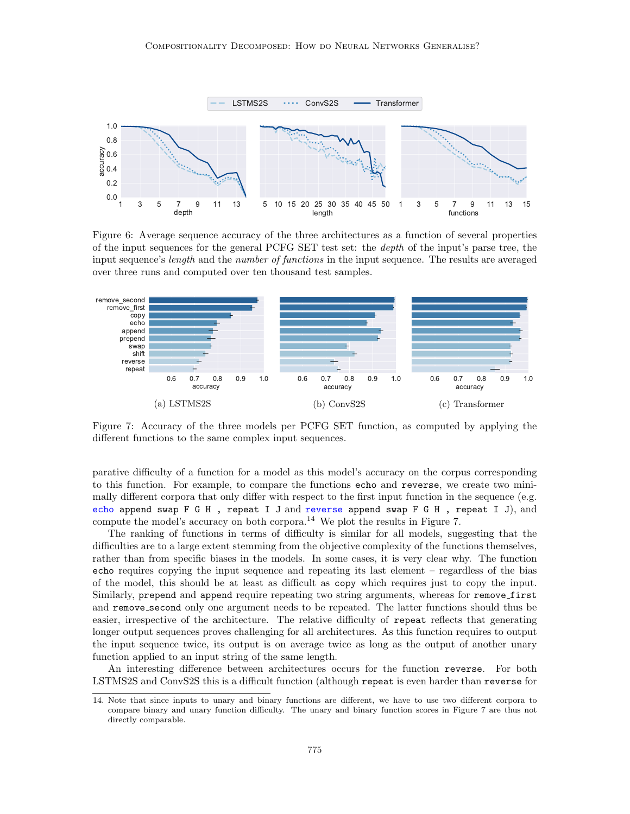<span id="page-18-0"></span>

Figure 6: Average sequence accuracy of the three architectures as a function of several properties of the input sequences for the general PCFG SET test set: the depth of the input's parse tree, the input sequence's *length* and the *number of functions* in the input sequence. The results are averaged over three runs and computed over ten thousand test samples.

<span id="page-18-2"></span>

Figure 7: Accuracy of the three models per PCFG SET function, as computed by applying the different functions to the same complex input sequences.

parative difficulty of a function for a model as this model's accuracy on the corpus corresponding to this function. For example, to compare the functions echo and reverse, we create two minimally different corpora that only differ with respect to the first input function in the sequence (e.g. echo append swap F G H , repeat I J and reverse append swap F G H , repeat I J), and compute the model's accuracy on both corpora.<sup>[14](#page-18-1)</sup> We plot the results in Figure [7.](#page-18-2)

The ranking of functions in terms of difficulty is similar for all models, suggesting that the difficulties are to a large extent stemming from the objective complexity of the functions themselves, rather than from specific biases in the models. In some cases, it is very clear why. The function echo requires copying the input sequence and repeating its last element – regardless of the bias of the model, this should be at least as difficult as copy which requires just to copy the input. Similarly, prepend and append require repeating two string arguments, whereas for remove first and remove second only one argument needs to be repeated. The latter functions should thus be easier, irrespective of the architecture. The relative difficulty of repeat reflects that generating longer output sequences proves challenging for all architectures. As this function requires to output the input sequence twice, its output is on average twice as long as the output of another unary function applied to an input string of the same length.

An interesting difference between architectures occurs for the function reverse. For both LSTMS2S and ConvS2S this is a difficult function (although repeat is even harder than reverse for

<span id="page-18-1"></span><sup>14.</sup> Note that since inputs to unary and binary functions are different, we have to use two different corpora to compare binary and unary function difficulty. The unary and binary function scores in Figure [7](#page-18-2) are thus not directly comparable.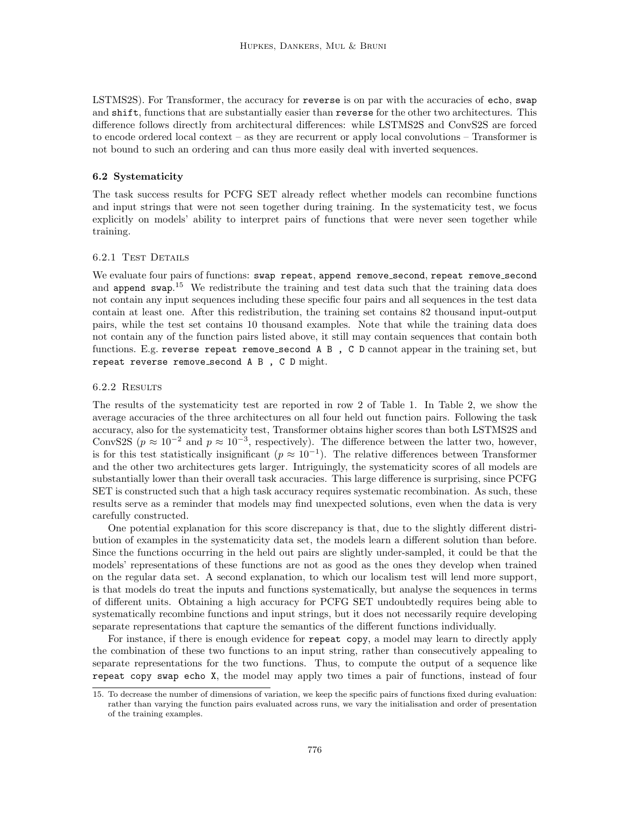LSTMS2S). For Transformer, the accuracy for reverse is on par with the accuracies of echo, swap and shift, functions that are substantially easier than reverse for the other two architectures. This difference follows directly from architectural differences: while LSTMS2S and ConvS2S are forced to encode ordered local context – as they are recurrent or apply local convolutions – Transformer is not bound to such an ordering and can thus more easily deal with inverted sequences.

## 6.2 Systematicity

The task success results for PCFG SET already reflect whether models can recombine functions and input strings that were not seen together during training. In the systematicity test, we focus explicitly on models' ability to interpret pairs of functions that were never seen together while training.

#### 6.2.1 Test Details

We evaluate four pairs of functions: swap repeat, append remove\_second, repeat remove\_second and append swap.<sup>[15](#page-19-0)</sup> We redistribute the training and test data such that the training data does not contain any input sequences including these specific four pairs and all sequences in the test data contain at least one. After this redistribution, the training set contains 82 thousand input-output pairs, while the test set contains 10 thousand examples. Note that while the training data does not contain any of the function pairs listed above, it still may contain sequences that contain both functions. E.g. reverse repeat remove second A B , C D cannot appear in the training set, but repeat reverse remove second A B , C D might.

#### 6.2.2 RESULTS

The results of the systematicity test are reported in row 2 of Table [1.](#page-17-0) In Table [2,](#page-20-0) we show the average accuracies of the three architectures on all four held out function pairs. Following the task accuracy, also for the systematicity test, Transformer obtains higher scores than both LSTMS2S and ConvS2S ( $p \approx 10^{-2}$  and  $p \approx 10^{-3}$ , respectively). The difference between the latter two, however, is for this test statistically insignificant  $(p \approx 10^{-1})$ . The relative differences between Transformer and the other two architectures gets larger. Intriguingly, the systematicity scores of all models are substantially lower than their overall task accuracies. This large difference is surprising, since PCFG SET is constructed such that a high task accuracy requires systematic recombination. As such, these results serve as a reminder that models may find unexpected solutions, even when the data is very carefully constructed.

One potential explanation for this score discrepancy is that, due to the slightly different distribution of examples in the systematicity data set, the models learn a different solution than before. Since the functions occurring in the held out pairs are slightly under-sampled, it could be that the models' representations of these functions are not as good as the ones they develop when trained on the regular data set. A second explanation, to which our localism test will lend more support, is that models do treat the inputs and functions systematically, but analyse the sequences in terms of different units. Obtaining a high accuracy for PCFG SET undoubtedly requires being able to systematically recombine functions and input strings, but it does not necessarily require developing separate representations that capture the semantics of the different functions individually.

For instance, if there is enough evidence for repeat copy, a model may learn to directly apply the combination of these two functions to an input string, rather than consecutively appealing to separate representations for the two functions. Thus, to compute the output of a sequence like repeat copy swap echo X, the model may apply two times a pair of functions, instead of four

<span id="page-19-0"></span><sup>15.</sup> To decrease the number of dimensions of variation, we keep the specific pairs of functions fixed during evaluation: rather than varying the function pairs evaluated across runs, we vary the initialisation and order of presentation of the training examples.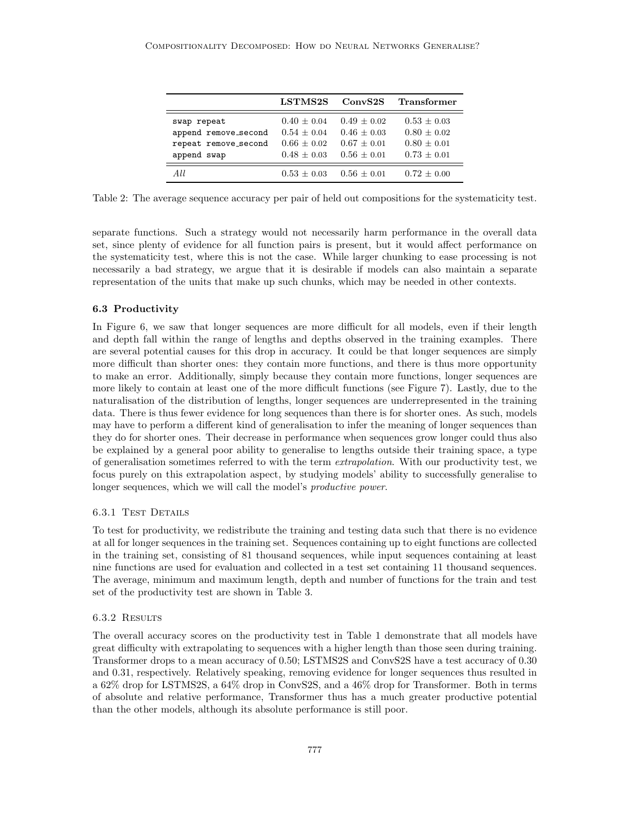<span id="page-20-0"></span>

|                      | LSTMS2S         | ConvS2S         | <b>Transformer</b> |
|----------------------|-----------------|-----------------|--------------------|
| swap repeat          | $0.40 \pm 0.04$ | $0.49 + 0.02$   | $0.53 \pm 0.03$    |
| append remove_second | $0.54 \pm 0.04$ | $0.46 + 0.03$   | $0.80 \pm 0.02$    |
| repeat remove_second | $0.66 \pm 0.02$ | $0.67 + 0.01$   | $0.80 + 0.01$      |
| append swap          | $0.48 \pm 0.03$ | $0.56 \pm 0.01$ | $0.73 \pm 0.01$    |
| A I.I.               | $0.53 + 0.03$   | $0.56 + 0.01$   | $0.72 + 0.00$      |

Table 2: The average sequence accuracy per pair of held out compositions for the systematicity test.

separate functions. Such a strategy would not necessarily harm performance in the overall data set, since plenty of evidence for all function pairs is present, but it would affect performance on the systematicity test, where this is not the case. While larger chunking to ease processing is not necessarily a bad strategy, we argue that it is desirable if models can also maintain a separate representation of the units that make up such chunks, which may be needed in other contexts.

## 6.3 Productivity

In Figure [6,](#page-18-0) we saw that longer sequences are more difficult for all models, even if their length and depth fall within the range of lengths and depths observed in the training examples. There are several potential causes for this drop in accuracy. It could be that longer sequences are simply more difficult than shorter ones: they contain more functions, and there is thus more opportunity to make an error. Additionally, simply because they contain more functions, longer sequences are more likely to contain at least one of the more difficult functions (see Figure [7\)](#page-18-2). Lastly, due to the naturalisation of the distribution of lengths, longer sequences are underrepresented in the training data. There is thus fewer evidence for long sequences than there is for shorter ones. As such, models may have to perform a different kind of generalisation to infer the meaning of longer sequences than they do for shorter ones. Their decrease in performance when sequences grow longer could thus also be explained by a general poor ability to generalise to lengths outside their training space, a type of generalisation sometimes referred to with the term *extrapolation*. With our productivity test, we focus purely on this extrapolation aspect, by studying models' ability to successfully generalise to longer sequences, which we will call the model's productive power.

## 6.3.1 TEST DETAILS

To test for productivity, we redistribute the training and testing data such that there is no evidence at all for longer sequences in the training set. Sequences containing up to eight functions are collected in the training set, consisting of 81 thousand sequences, while input sequences containing at least nine functions are used for evaluation and collected in a test set containing 11 thousand sequences. The average, minimum and maximum length, depth and number of functions for the train and test set of the productivity test are shown in Table [3.](#page-21-0)

#### 6.3.2 Results

The overall accuracy scores on the productivity test in Table [1](#page-17-0) demonstrate that all models have great difficulty with extrapolating to sequences with a higher length than those seen during training. Transformer drops to a mean accuracy of 0.50; LSTMS2S and ConvS2S have a test accuracy of 0.30 and 0.31, respectively. Relatively speaking, removing evidence for longer sequences thus resulted in a 62% drop for LSTMS2S, a 64% drop in ConvS2S, and a 46% drop for Transformer. Both in terms of absolute and relative performance, Transformer thus has a much greater productive potential than the other models, although its absolute performance is still poor.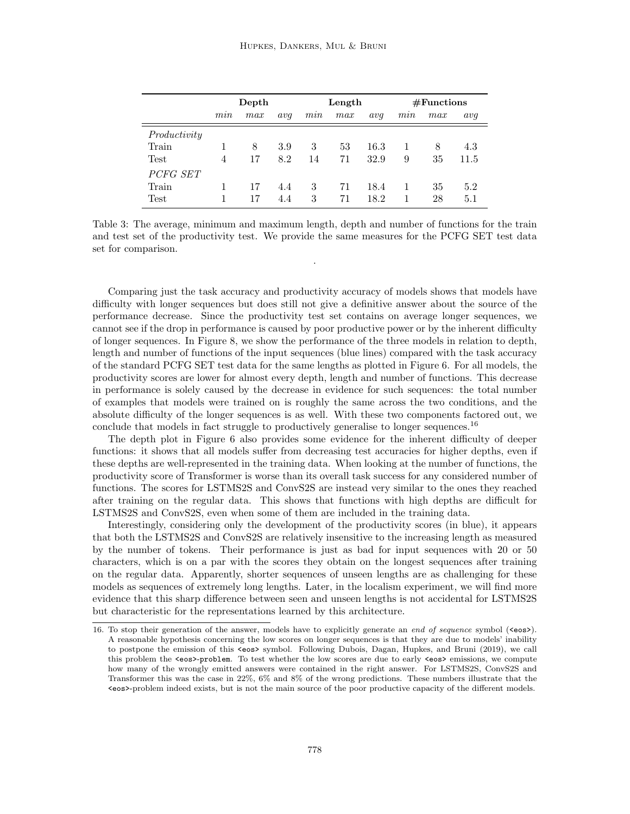<span id="page-21-0"></span>

|              | Depth          |     |     | Length |     |      | #Functions |     |      |
|--------------|----------------|-----|-----|--------|-----|------|------------|-----|------|
|              | mnn            | max | avq | m n    | max | avq  | mnn        | max | avq  |
| Productivity |                |     |     |        |     |      |            |     |      |
| Train        |                | 8   | 3.9 | 3      | 53  | 16.3 |            | 8   | 4.3  |
| Test         | $\overline{4}$ | 17  | 8.2 | 14     | 71  | 32.9 | 9          | 35  | 11.5 |
| PCFG SET     |                |     |     |        |     |      |            |     |      |
| Train        |                | 17  | 4.4 | 3      | 71  | 18.4 |            | 35  | 5.2  |
| Test         |                | 17  | 4.4 | 3      | 71  | 18.2 |            | 28  | 5.1  |

Table 3: The average, minimum and maximum length, depth and number of functions for the train and test set of the productivity test. We provide the same measures for the PCFG SET test data set for comparison.

.

Comparing just the task accuracy and productivity accuracy of models shows that models have difficulty with longer sequences but does still not give a definitive answer about the source of the performance decrease. Since the productivity test set contains on average longer sequences, we cannot see if the drop in performance is caused by poor productive power or by the inherent difficulty of longer sequences. In Figure [8,](#page-22-0) we show the performance of the three models in relation to depth, length and number of functions of the input sequences (blue lines) compared with the task accuracy of the standard PCFG SET test data for the same lengths as plotted in Figure [6.](#page-18-0) For all models, the productivity scores are lower for almost every depth, length and number of functions. This decrease in performance is solely caused by the decrease in evidence for such sequences: the total number of examples that models were trained on is roughly the same across the two conditions, and the absolute difficulty of the longer sequences is as well. With these two components factored out, we conclude that models in fact struggle to productively generalise to longer sequences.<sup>[16](#page-21-1)</sup>

The depth plot in Figure [6](#page-18-0) also provides some evidence for the inherent difficulty of deeper functions: it shows that all models suffer from decreasing test accuracies for higher depths, even if these depths are well-represented in the training data. When looking at the number of functions, the productivity score of Transformer is worse than its overall task success for any considered number of functions. The scores for LSTMS2S and ConvS2S are instead very similar to the ones they reached after training on the regular data. This shows that functions with high depths are difficult for LSTMS2S and ConvS2S, even when some of them are included in the training data.

Interestingly, considering only the development of the productivity scores (in blue), it appears that both the LSTMS2S and ConvS2S are relatively insensitive to the increasing length as measured by the number of tokens. Their performance is just as bad for input sequences with 20 or 50 characters, which is on a par with the scores they obtain on the longest sequences after training on the regular data. Apparently, shorter sequences of unseen lengths are as challenging for these models as sequences of extremely long lengths. Later, in the localism experiment, we will find more evidence that this sharp difference between seen and unseen lengths is not accidental for LSTMS2S but characteristic for the representations learned by this architecture.

<span id="page-21-1"></span><sup>16.</sup> To stop their generation of the answer, models have to explicitly generate an end of sequence symbol ( $\langle \cos \rangle$ ). A reasonable hypothesis concerning the low scores on longer sequences is that they are due to models' inability to postpone the emission of this <eos> symbol. Following [Dubois, Dagan, Hupkes, and Bruni](#page-35-20) [\(2019\)](#page-35-20), we call this problem the <eos>-problem. To test whether the low scores are due to early <eos> emissions, we compute how many of the wrongly emitted answers were contained in the right answer. For LSTMS2S, ConvS2S and Transformer this was the case in 22%, 6% and 8% of the wrong predictions. These numbers illustrate that the <eos>-problem indeed exists, but is not the main source of the poor productive capacity of the different models.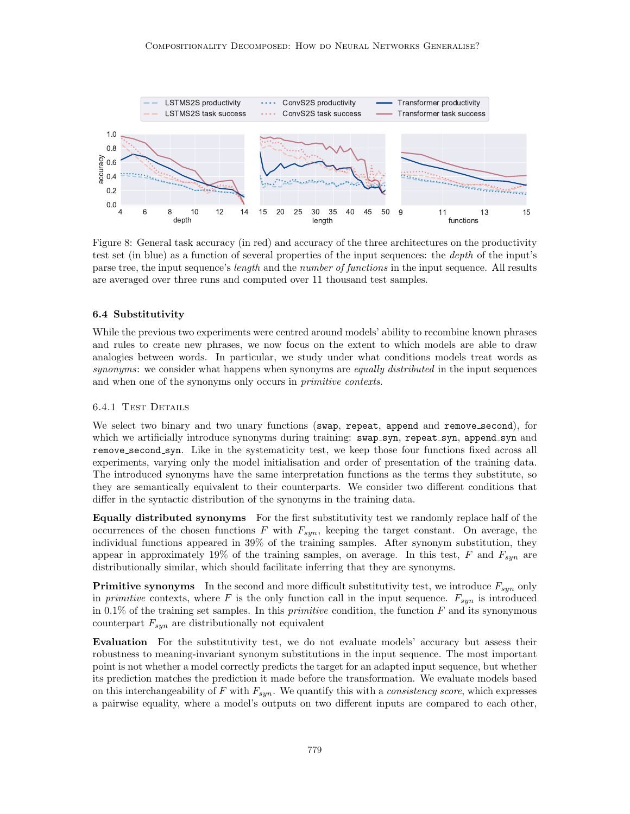<span id="page-22-0"></span>

Figure 8: General task accuracy (in red) and accuracy of the three architectures on the productivity test set (in blue) as a function of several properties of the input sequences: the depth of the input's parse tree, the input sequence's *length* and the *number of functions* in the input sequence. All results are averaged over three runs and computed over 11 thousand test samples.

#### 6.4 Substitutivity

While the previous two experiments were centred around models' ability to recombine known phrases and rules to create new phrases, we now focus on the extent to which models are able to draw analogies between words. In particular, we study under what conditions models treat words as synonyms: we consider what happens when synonyms are *equally distributed* in the input sequences and when one of the synonyms only occurs in primitive contexts.

## 6.4.1 Test Details

We select two binary and two unary functions (swap, repeat, append and remove second), for which we artificially introduce synonyms during training: swap\_syn, repeat\_syn, append\_syn and remove second syn. Like in the systematicity test, we keep those four functions fixed across all experiments, varying only the model initialisation and order of presentation of the training data. The introduced synonyms have the same interpretation functions as the terms they substitute, so they are semantically equivalent to their counterparts. We consider two different conditions that differ in the syntactic distribution of the synonyms in the training data.

Equally distributed synonyms For the first substitutivity test we randomly replace half of the occurrences of the chosen functions F with  $F_{syn}$ , keeping the target constant. On average, the individual functions appeared in 39% of the training samples. After synonym substitution, they appear in approximately 19% of the training samples, on average. In this test, F and  $F_{sun}$  are distributionally similar, which should facilitate inferring that they are synonyms.

**Primitive synonyms** In the second and more difficult substitutivity test, we introduce  $F_{syn}$  only in *primitive* contexts, where F is the only function call in the input sequence.  $F_{syn}$  is introduced in 0.1% of the training set samples. In this *primitive* condition, the function  $F$  and its synonymous counterpart  $F_{syn}$  are distributionally not equivalent

Evaluation For the substitutivity test, we do not evaluate models' accuracy but assess their robustness to meaning-invariant synonym substitutions in the input sequence. The most important point is not whether a model correctly predicts the target for an adapted input sequence, but whether its prediction matches the prediction it made before the transformation. We evaluate models based on this interchangeability of F with  $F_{syn}$ . We quantify this with a *consistency score*, which expresses a pairwise equality, where a model's outputs on two different inputs are compared to each other,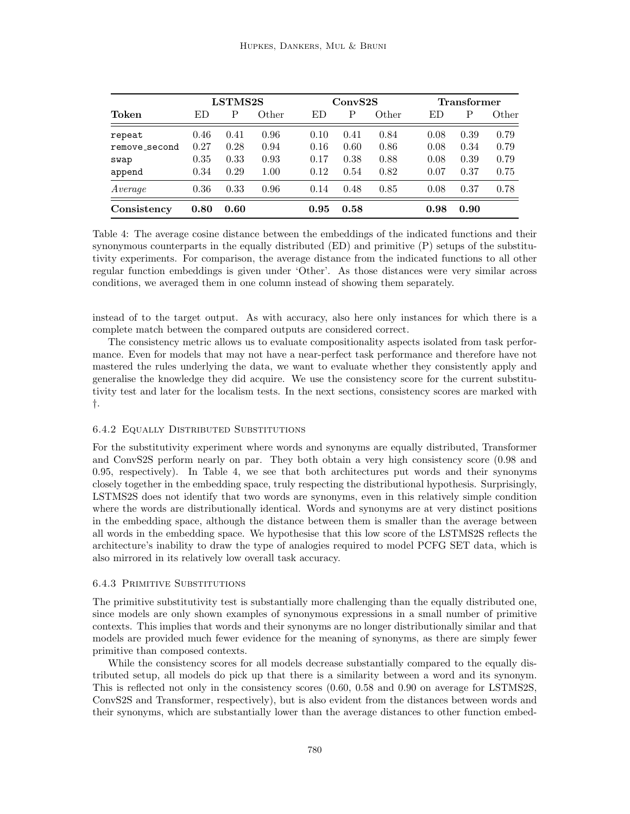<span id="page-23-0"></span>

|               |      | LSTMS2S |       | ConvS2S |      |       | <b>Transformer</b> |      |       |
|---------------|------|---------|-------|---------|------|-------|--------------------|------|-------|
| Token         | ED   | P       | Other | ED      | Ρ    | Other | ED                 | Ρ    | Other |
| repeat        | 0.46 | 0.41    | 0.96  | 0.10    | 0.41 | 0.84  | 0.08               | 0.39 | 0.79  |
| remove_second | 0.27 | 0.28    | 0.94  | 0.16    | 0.60 | 0.86  | 0.08               | 0.34 | 0.79  |
| swap          | 0.35 | 0.33    | 0.93  | 0.17    | 0.38 | 0.88  | 0.08               | 0.39 | 0.79  |
| append        | 0.34 | 0.29    | 1.00  | 0.12    | 0.54 | 0.82  | 0.07               | 0.37 | 0.75  |
| Average       | 0.36 | 0.33    | 0.96  | 0.14    | 0.48 | 0.85  | 0.08               | 0.37 | 0.78  |
| Consistency   | 0.80 | 0.60    |       | 0.95    | 0.58 |       | 0.98               | 0.90 |       |

Table 4: The average cosine distance between the embeddings of the indicated functions and their synonymous counterparts in the equally distributed (ED) and primitive (P) setups of the substitutivity experiments. For comparison, the average distance from the indicated functions to all other regular function embeddings is given under 'Other'. As those distances were very similar across conditions, we averaged them in one column instead of showing them separately.

instead of to the target output. As with accuracy, also here only instances for which there is a complete match between the compared outputs are considered correct.

The consistency metric allows us to evaluate compositionality aspects isolated from task performance. Even for models that may not have a near-perfect task performance and therefore have not mastered the rules underlying the data, we want to evaluate whether they consistently apply and generalise the knowledge they did acquire. We use the consistency score for the current substitutivity test and later for the localism tests. In the next sections, consistency scores are marked with †.

## 6.4.2 Equally Distributed Substitutions

For the substitutivity experiment where words and synonyms are equally distributed, Transformer and ConvS2S perform nearly on par. They both obtain a very high consistency score (0.98 and 0.95, respectively). In Table [4,](#page-23-0) we see that both architectures put words and their synonyms closely together in the embedding space, truly respecting the distributional hypothesis. Surprisingly, LSTMS2S does not identify that two words are synonyms, even in this relatively simple condition where the words are distributionally identical. Words and synonyms are at very distinct positions in the embedding space, although the distance between them is smaller than the average between all words in the embedding space. We hypothesise that this low score of the LSTMS2S reflects the architecture's inability to draw the type of analogies required to model PCFG SET data, which is also mirrored in its relatively low overall task accuracy.

## 6.4.3 Primitive Substitutions

The primitive substitutivity test is substantially more challenging than the equally distributed one, since models are only shown examples of synonymous expressions in a small number of primitive contexts. This implies that words and their synonyms are no longer distributionally similar and that models are provided much fewer evidence for the meaning of synonyms, as there are simply fewer primitive than composed contexts.

While the consistency scores for all models decrease substantially compared to the equally distributed setup, all models do pick up that there is a similarity between a word and its synonym. This is reflected not only in the consistency scores (0.60, 0.58 and 0.90 on average for LSTMS2S, ConvS2S and Transformer, respectively), but is also evident from the distances between words and their synonyms, which are substantially lower than the average distances to other function embed-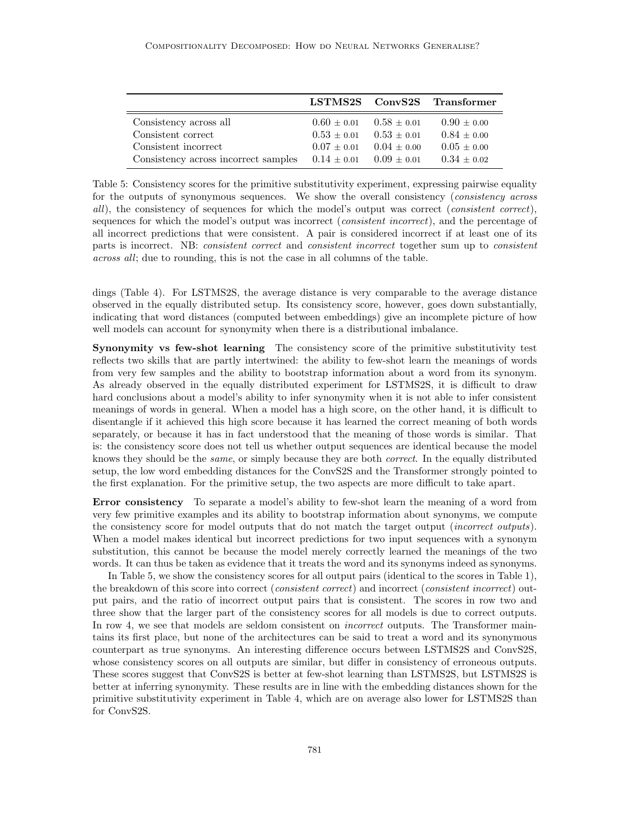<span id="page-24-0"></span>

|                                      |                 |                 | LSTMS2S ConvS2S Transformer |
|--------------------------------------|-----------------|-----------------|-----------------------------|
| Consistency across all               | $0.60 \pm 0.01$ | $0.58 \pm 0.01$ | $0.90 \pm 0.00$             |
| Consistent correct                   | $0.53 \pm 0.01$ | $0.53 + 0.01$   | $0.84 + 0.00$               |
| Consistent incorrect                 | $0.07 + 0.01$   | $0.04 + 0.00$   | $0.05 \pm 0.00$             |
| Consistency across incorrect samples | $0.14 + 0.01$   | $0.09 \pm 0.01$ | $0.34 \pm 0.02$             |

Table 5: Consistency scores for the primitive substitutivity experiment, expressing pairwise equality for the outputs of synonymous sequences. We show the overall consistency (consistency across all), the consistency of sequences for which the model's output was correct (consistent correct), sequences for which the model's output was incorrect (*consistent incorrect*), and the percentage of all incorrect predictions that were consistent. A pair is considered incorrect if at least one of its parts is incorrect. NB: consistent correct and consistent incorrect together sum up to consistent across all; due to rounding, this is not the case in all columns of the table.

dings (Table [4\)](#page-23-0). For LSTMS2S, the average distance is very comparable to the average distance observed in the equally distributed setup. Its consistency score, however, goes down substantially, indicating that word distances (computed between embeddings) give an incomplete picture of how well models can account for synonymity when there is a distributional imbalance.

Synonymity vs few-shot learning The consistency score of the primitive substitutivity test reflects two skills that are partly intertwined: the ability to few-shot learn the meanings of words from very few samples and the ability to bootstrap information about a word from its synonym. As already observed in the equally distributed experiment for LSTMS2S, it is difficult to draw hard conclusions about a model's ability to infer synonymity when it is not able to infer consistent meanings of words in general. When a model has a high score, on the other hand, it is difficult to disentangle if it achieved this high score because it has learned the correct meaning of both words separately, or because it has in fact understood that the meaning of those words is similar. That is: the consistency score does not tell us whether output sequences are identical because the model knows they should be the *same*, or simply because they are both *correct*. In the equally distributed setup, the low word embedding distances for the ConvS2S and the Transformer strongly pointed to the first explanation. For the primitive setup, the two aspects are more difficult to take apart.

Error consistency To separate a model's ability to few-shot learn the meaning of a word from very few primitive examples and its ability to bootstrap information about synonyms, we compute the consistency score for model outputs that do not match the target output (*incorrect outputs*). When a model makes identical but incorrect predictions for two input sequences with a synonym substitution, this cannot be because the model merely correctly learned the meanings of the two words. It can thus be taken as evidence that it treats the word and its synonyms indeed as synonyms.

In Table [5,](#page-24-0) we show the consistency scores for all output pairs (identical to the scores in Table [1\)](#page-17-0), the breakdown of this score into correct (*consistent correct*) and incorrect (*consistent incorrect*) output pairs, and the ratio of incorrect output pairs that is consistent. The scores in row two and three show that the larger part of the consistency scores for all models is due to correct outputs. In row 4, we see that models are seldom consistent on *incorrect* outputs. The Transformer maintains its first place, but none of the architectures can be said to treat a word and its synonymous counterpart as true synonyms. An interesting difference occurs between LSTMS2S and ConvS2S, whose consistency scores on all outputs are similar, but differ in consistency of erroneous outputs. These scores suggest that ConvS2S is better at few-shot learning than LSTMS2S, but LSTMS2S is better at inferring synonymity. These results are in line with the embedding distances shown for the primitive substitutivity experiment in Table [4,](#page-23-0) which are on average also lower for LSTMS2S than for ConvS2S.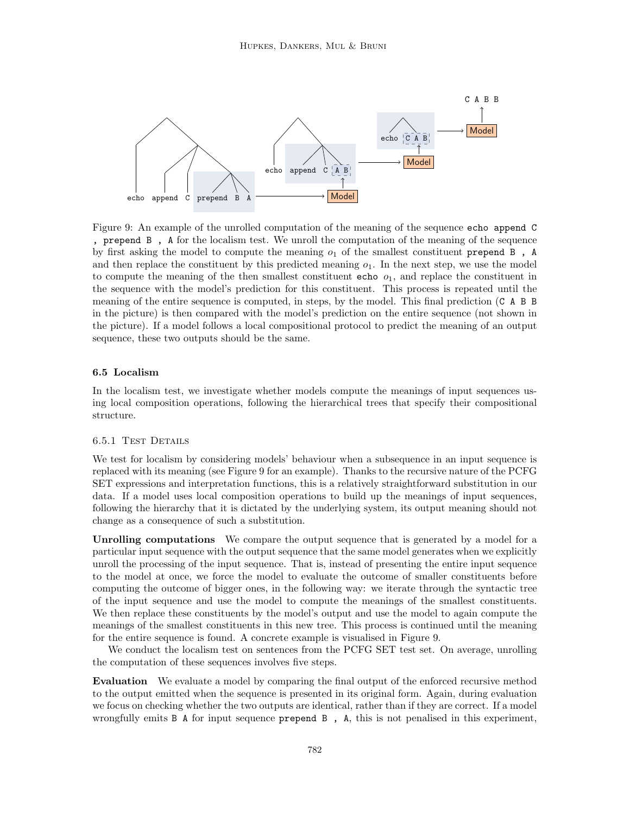<span id="page-25-0"></span>

Figure 9: An example of the unrolled computation of the meaning of the sequence echo append C , prepend B , A for the localism test. We unroll the computation of the meaning of the sequence by first asking the model to compute the meaning  $o_1$  of the smallest constituent prepend B, A and then replace the constituent by this predicted meaning  $o_1$ . In the next step, we use the model to compute the meaning of the then smallest constituent echo  $o<sub>1</sub>$ , and replace the constituent in the sequence with the model's prediction for this constituent. This process is repeated until the meaning of the entire sequence is computed, in steps, by the model. This final prediction (C A B B in the picture) is then compared with the model's prediction on the entire sequence (not shown in the picture). If a model follows a local compositional protocol to predict the meaning of an output sequence, these two outputs should be the same.

## 6.5 Localism

In the localism test, we investigate whether models compute the meanings of input sequences using local composition operations, following the hierarchical trees that specify their compositional structure.

## 6.5.1 Test Details

We test for localism by considering models' behaviour when a subsequence in an input sequence is replaced with its meaning (see Figure [9](#page-25-0) for an example). Thanks to the recursive nature of the PCFG SET expressions and interpretation functions, this is a relatively straightforward substitution in our data. If a model uses local composition operations to build up the meanings of input sequences, following the hierarchy that it is dictated by the underlying system, its output meaning should not change as a consequence of such a substitution.

Unrolling computations We compare the output sequence that is generated by a model for a particular input sequence with the output sequence that the same model generates when we explicitly unroll the processing of the input sequence. That is, instead of presenting the entire input sequence to the model at once, we force the model to evaluate the outcome of smaller constituents before computing the outcome of bigger ones, in the following way: we iterate through the syntactic tree of the input sequence and use the model to compute the meanings of the smallest constituents. We then replace these constituents by the model's output and use the model to again compute the meanings of the smallest constituents in this new tree. This process is continued until the meaning for the entire sequence is found. A concrete example is visualised in Figure [9.](#page-25-0)

We conduct the localism test on sentences from the PCFG SET test set. On average, unrolling the computation of these sequences involves five steps.

Evaluation We evaluate a model by comparing the final output of the enforced recursive method to the output emitted when the sequence is presented in its original form. Again, during evaluation we focus on checking whether the two outputs are identical, rather than if they are correct. If a model wrongfully emits B A for input sequence prepend B , A, this is not penalised in this experiment,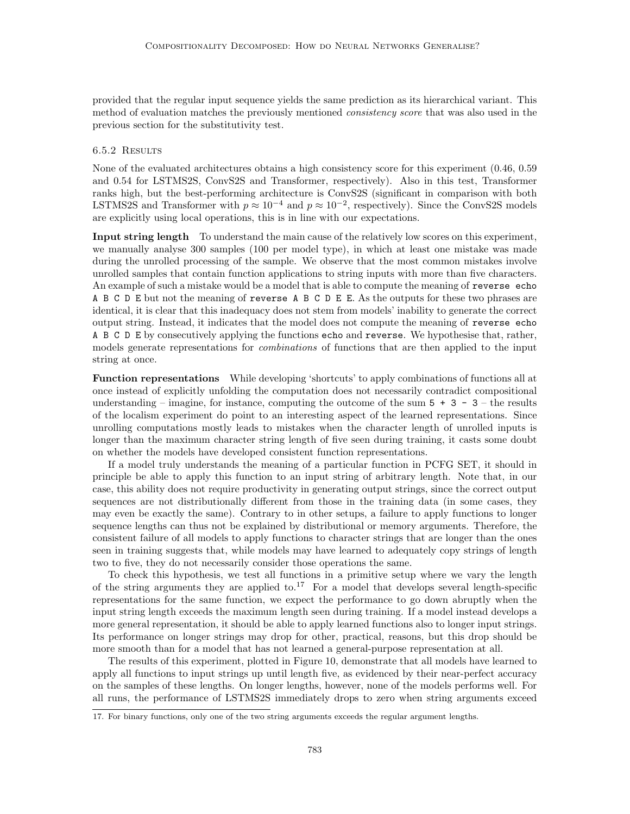provided that the regular input sequence yields the same prediction as its hierarchical variant. This method of evaluation matches the previously mentioned consistency score that was also used in the previous section for the substitutivity test.

## 6.5.2 Results

None of the evaluated architectures obtains a high consistency score for this experiment (0.46, 0.59 and 0.54 for LSTMS2S, ConvS2S and Transformer, respectively). Also in this test, Transformer ranks high, but the best-performing architecture is ConvS2S (significant in comparison with both LSTMS2S and Transformer with  $p \approx 10^{-4}$  and  $p \approx 10^{-2}$ , respectively). Since the ConvS2S models are explicitly using local operations, this is in line with our expectations.

Input string length To understand the main cause of the relatively low scores on this experiment, we manually analyse 300 samples (100 per model type), in which at least one mistake was made during the unrolled processing of the sample. We observe that the most common mistakes involve unrolled samples that contain function applications to string inputs with more than five characters. An example of such a mistake would be a model that is able to compute the meaning of reverse echo A B C D E but not the meaning of reverse A B C D E E. As the outputs for these two phrases are identical, it is clear that this inadequacy does not stem from models' inability to generate the correct output string. Instead, it indicates that the model does not compute the meaning of reverse echo A B C D E by consecutively applying the functions echo and reverse. We hypothesise that, rather, models generate representations for combinations of functions that are then applied to the input string at once.

Function representations While developing 'shortcuts' to apply combinations of functions all at once instead of explicitly unfolding the computation does not necessarily contradict compositional understanding – imagine, for instance, computing the outcome of the sum  $5 + 3 - 3$  – the results of the localism experiment do point to an interesting aspect of the learned representations. Since unrolling computations mostly leads to mistakes when the character length of unrolled inputs is longer than the maximum character string length of five seen during training, it casts some doubt on whether the models have developed consistent function representations.

If a model truly understands the meaning of a particular function in PCFG SET, it should in principle be able to apply this function to an input string of arbitrary length. Note that, in our case, this ability does not require productivity in generating output strings, since the correct output sequences are not distributionally different from those in the training data (in some cases, they may even be exactly the same). Contrary to in other setups, a failure to apply functions to longer sequence lengths can thus not be explained by distributional or memory arguments. Therefore, the consistent failure of all models to apply functions to character strings that are longer than the ones seen in training suggests that, while models may have learned to adequately copy strings of length two to five, they do not necessarily consider those operations the same.

To check this hypothesis, we test all functions in a primitive setup where we vary the length of the string arguments they are applied to.<sup>[17](#page-26-0)</sup> For a model that develops several length-specific representations for the same function, we expect the performance to go down abruptly when the input string length exceeds the maximum length seen during training. If a model instead develops a more general representation, it should be able to apply learned functions also to longer input strings. Its performance on longer strings may drop for other, practical, reasons, but this drop should be more smooth than for a model that has not learned a general-purpose representation at all.

The results of this experiment, plotted in Figure [10,](#page-27-0) demonstrate that all models have learned to apply all functions to input strings up until length five, as evidenced by their near-perfect accuracy on the samples of these lengths. On longer lengths, however, none of the models performs well. For all runs, the performance of LSTMS2S immediately drops to zero when string arguments exceed

<span id="page-26-0"></span><sup>17.</sup> For binary functions, only one of the two string arguments exceeds the regular argument lengths.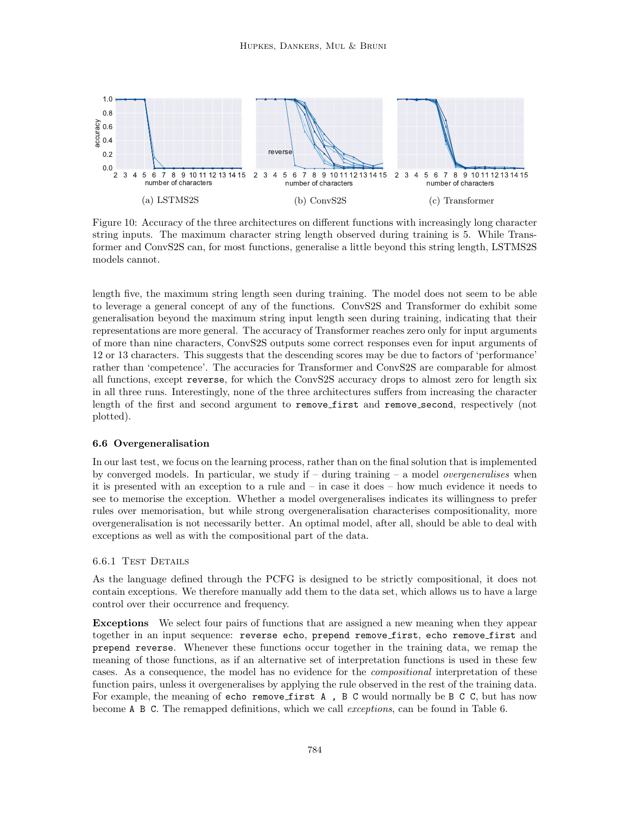<span id="page-27-0"></span>

Figure 10: Accuracy of the three architectures on different functions with increasingly long character string inputs. The maximum character string length observed during training is 5. While Transformer and ConvS2S can, for most functions, generalise a little beyond this string length, LSTMS2S models cannot.

length five, the maximum string length seen during training. The model does not seem to be able to leverage a general concept of any of the functions. ConvS2S and Transformer do exhibit some generalisation beyond the maximum string input length seen during training, indicating that their representations are more general. The accuracy of Transformer reaches zero only for input arguments of more than nine characters, ConvS2S outputs some correct responses even for input arguments of 12 or 13 characters. This suggests that the descending scores may be due to factors of 'performance' rather than 'competence'. The accuracies for Transformer and ConvS2S are comparable for almost all functions, except reverse, for which the ConvS2S accuracy drops to almost zero for length six in all three runs. Interestingly, none of the three architectures suffers from increasing the character length of the first and second argument to remove first and remove second, respectively (not plotted).

## 6.6 Overgeneralisation

In our last test, we focus on the learning process, rather than on the final solution that is implemented by converged models. In particular, we study if  $-$  during training  $-$  a model *overgeneralises* when it is presented with an exception to a rule and – in case it does – how much evidence it needs to see to memorise the exception. Whether a model overgeneralises indicates its willingness to prefer rules over memorisation, but while strong overgeneralisation characterises compositionality, more overgeneralisation is not necessarily better. An optimal model, after all, should be able to deal with exceptions as well as with the compositional part of the data.

## 6.6.1 Test Details

As the language defined through the PCFG is designed to be strictly compositional, it does not contain exceptions. We therefore manually add them to the data set, which allows us to have a large control over their occurrence and frequency.

Exceptions We select four pairs of functions that are assigned a new meaning when they appear together in an input sequence: reverse echo, prepend remove first, echo remove first and prepend reverse. Whenever these functions occur together in the training data, we remap the meaning of those functions, as if an alternative set of interpretation functions is used in these few cases. As a consequence, the model has no evidence for the compositional interpretation of these function pairs, unless it overgeneralises by applying the rule observed in the rest of the training data. For example, the meaning of echo remove first A, B C would normally be B C C, but has now become A B C. The remapped definitions, which we call exceptions, can be found in Table [6.](#page-28-0)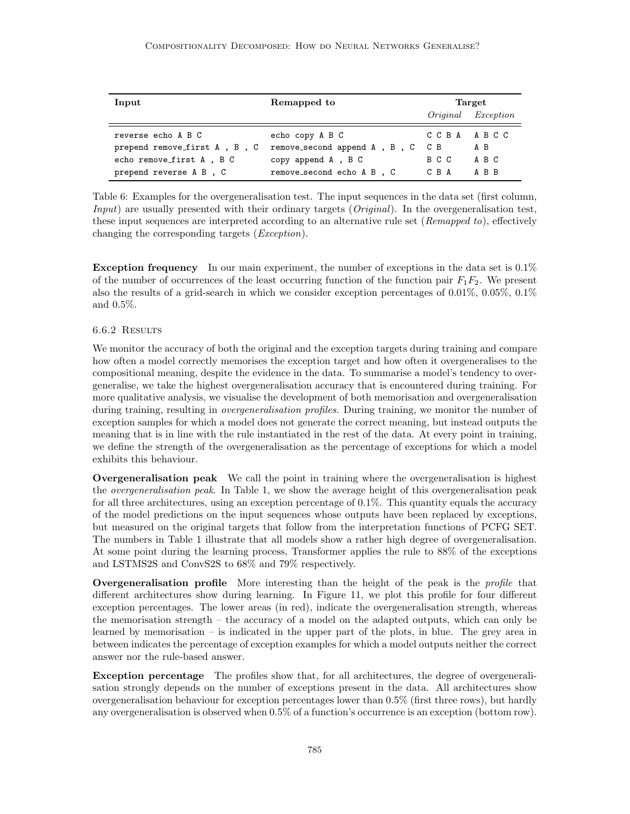<span id="page-28-0"></span>

| Input                        | Remapped to                  | Target    |                    |  |
|------------------------------|------------------------------|-----------|--------------------|--|
|                              |                              |           | Original Exception |  |
| reverse echo A B C           | echo copy A B C              | CCBA ABCC |                    |  |
| prepend remove_first A, B, C | remove_second append A, B, C | C B       | A B                |  |
| echo remove_first A, B C     | copy append A, B C           | B C C     | A B C              |  |
| prepend reverse A B, C       | remove_second echo A B , C   | C B A     | A B B              |  |

Table 6: Examples for the overgeneralisation test. The input sequences in the data set (first column, *Input*) are usually presented with their ordinary targets ( $Original$ ). In the overgeneralisation test, these input sequences are interpreted according to an alternative rule set (Remapped to), effectively changing the corresponding targets (Exception).

**Exception frequency** In our main experiment, the number of exceptions in the data set is  $0.1\%$ of the number of occurrences of the least occurring function of the function pair  $F_1F_2$ . We present also the results of a grid-search in which we consider exception percentages of 0.01%, 0.05%, 0.1% and 0.5%.

#### 6.6.2 Results

We monitor the accuracy of both the original and the exception targets during training and compare how often a model correctly memorises the exception target and how often it overgeneralises to the compositional meaning, despite the evidence in the data. To summarise a model's tendency to overgeneralise, we take the highest overgeneralisation accuracy that is encountered during training. For more qualitative analysis, we visualise the development of both memorisation and overgeneralisation during training, resulting in *overgeneralisation profiles*. During training, we monitor the number of exception samples for which a model does not generate the correct meaning, but instead outputs the meaning that is in line with the rule instantiated in the rest of the data. At every point in training, we define the strength of the overgeneralisation as the percentage of exceptions for which a model exhibits this behaviour.

Overgeneralisation peak We call the point in training where the overgeneralisation is highest the *overgeneralisation peak*. In Table [1,](#page-17-0) we show the average height of this overgeneralisation peak for all three architectures, using an exception percentage of 0.1%. This quantity equals the accuracy of the model predictions on the input sequences whose outputs have been replaced by exceptions, but measured on the original targets that follow from the interpretation functions of PCFG SET. The numbers in Table [1](#page-17-0) illustrate that all models show a rather high degree of overgeneralisation. At some point during the learning process, Transformer applies the rule to 88% of the exceptions and LSTMS2S and ConvS2S to 68% and 79% respectively.

**Overgeneralisation profile** More interesting than the height of the peak is the *profile* that different architectures show during learning. In Figure [11,](#page-29-0) we plot this profile for four different exception percentages. The lower areas (in red), indicate the overgeneralisation strength, whereas the memorisation strength – the accuracy of a model on the adapted outputs, which can only be learned by memorisation – is indicated in the upper part of the plots, in blue. The grey area in between indicates the percentage of exception examples for which a model outputs neither the correct answer nor the rule-based answer.

Exception percentage The profiles show that, for all architectures, the degree of overgeneralisation strongly depends on the number of exceptions present in the data. All architectures show overgeneralisation behaviour for exception percentages lower than 0.5% (first three rows), but hardly any overgeneralisation is observed when 0.5% of a function's occurrence is an exception (bottom row).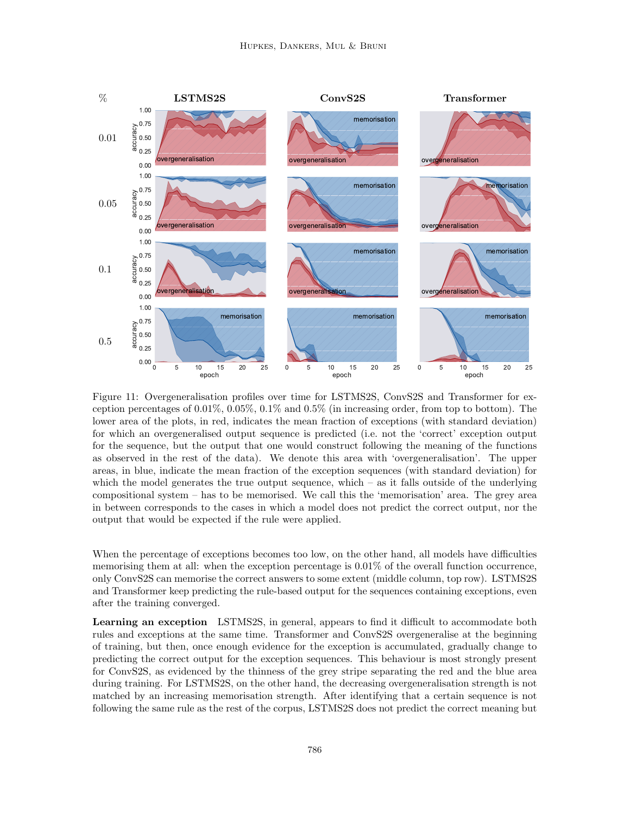<span id="page-29-0"></span>

Figure 11: Overgeneralisation profiles over time for LSTMS2S, ConvS2S and Transformer for exception percentages of  $0.01\%$ ,  $0.05\%$ ,  $0.1\%$  and  $0.5\%$  (in increasing order, from top to bottom). The lower area of the plots, in red, indicates the mean fraction of exceptions (with standard deviation) for which an overgeneralised output sequence is predicted (i.e. not the 'correct' exception output for the sequence, but the output that one would construct following the meaning of the functions as observed in the rest of the data). We denote this area with 'overgeneralisation'. The upper areas, in blue, indicate the mean fraction of the exception sequences (with standard deviation) for which the model generates the true output sequence, which – as it falls outside of the underlying compositional system – has to be memorised. We call this the 'memorisation' area. The grey area in between corresponds to the cases in which a model does not predict the correct output, nor the output that would be expected if the rule were applied.

When the percentage of exceptions becomes too low, on the other hand, all models have difficulties memorising them at all: when the exception percentage is 0.01% of the overall function occurrence, only ConvS2S can memorise the correct answers to some extent (middle column, top row). LSTMS2S and Transformer keep predicting the rule-based output for the sequences containing exceptions, even after the training converged.

Learning an exception LSTMS2S, in general, appears to find it difficult to accommodate both rules and exceptions at the same time. Transformer and ConvS2S overgeneralise at the beginning of training, but then, once enough evidence for the exception is accumulated, gradually change to predicting the correct output for the exception sequences. This behaviour is most strongly present for ConvS2S, as evidenced by the thinness of the grey stripe separating the red and the blue area during training. For LSTMS2S, on the other hand, the decreasing overgeneralisation strength is not matched by an increasing memorisation strength. After identifying that a certain sequence is not following the same rule as the rest of the corpus, LSTMS2S does not predict the correct meaning but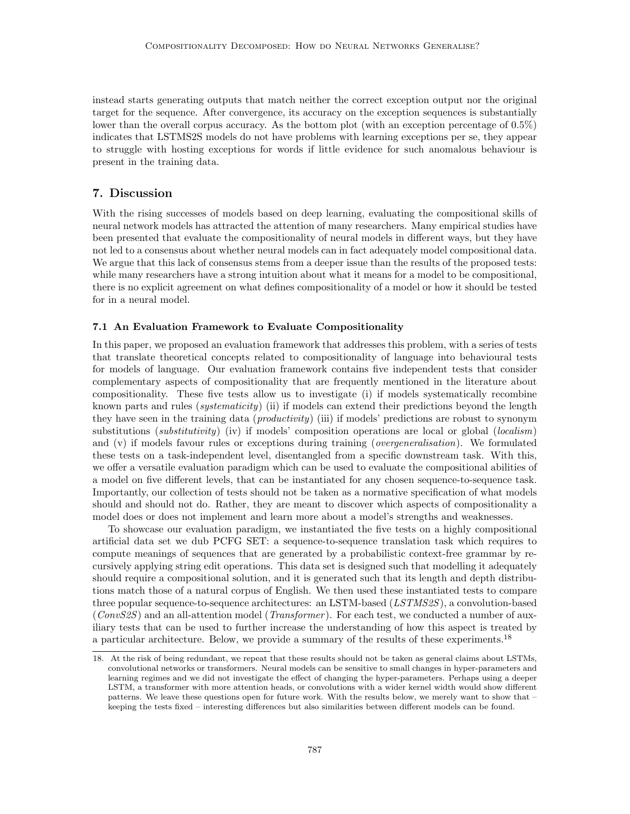instead starts generating outputs that match neither the correct exception output nor the original target for the sequence. After convergence, its accuracy on the exception sequences is substantially lower than the overall corpus accuracy. As the bottom plot (with an exception percentage of 0.5%) indicates that LSTMS2S models do not have problems with learning exceptions per se, they appear to struggle with hosting exceptions for words if little evidence for such anomalous behaviour is present in the training data.

## <span id="page-30-0"></span>7. Discussion

With the rising successes of models based on deep learning, evaluating the compositional skills of neural network models has attracted the attention of many researchers. Many empirical studies have been presented that evaluate the compositionality of neural models in different ways, but they have not led to a consensus about whether neural models can in fact adequately model compositional data. We argue that this lack of consensus stems from a deeper issue than the results of the proposed tests: while many researchers have a strong intuition about what it means for a model to be compositional, there is no explicit agreement on what defines compositionality of a model or how it should be tested for in a neural model.

## 7.1 An Evaluation Framework to Evaluate Compositionality

In this paper, we proposed an evaluation framework that addresses this problem, with a series of tests that translate theoretical concepts related to compositionality of language into behavioural tests for models of language. Our evaluation framework contains five independent tests that consider complementary aspects of compositionality that are frequently mentioned in the literature about compositionality. These five tests allow us to investigate (i) if models systematically recombine known parts and rules (*systematicity*) (ii) if models can extend their predictions beyond the length they have seen in the training data (*productivity*) (iii) if models' predictions are robust to synonym substitutions (*substitutivity*) (iv) if models' composition operations are local or global (*localism*) and (v) if models favour rules or exceptions during training (*overgeneralisation*). We formulated these tests on a task-independent level, disentangled from a specific downstream task. With this, we offer a versatile evaluation paradigm which can be used to evaluate the compositional abilities of a model on five different levels, that can be instantiated for any chosen sequence-to-sequence task. Importantly, our collection of tests should not be taken as a normative specification of what models should and should not do. Rather, they are meant to discover which aspects of compositionality a model does or does not implement and learn more about a model's strengths and weaknesses.

To showcase our evaluation paradigm, we instantiated the five tests on a highly compositional artificial data set we dub PCFG SET: a sequence-to-sequence translation task which requires to compute meanings of sequences that are generated by a probabilistic context-free grammar by recursively applying string edit operations. This data set is designed such that modelling it adequately should require a compositional solution, and it is generated such that its length and depth distributions match those of a natural corpus of English. We then used these instantiated tests to compare three popular sequence-to-sequence architectures: an LSTM-based (LSTMS2S), a convolution-based  $(ConvS2S)$  and an all-attention model (*Transformer*). For each test, we conducted a number of auxiliary tests that can be used to further increase the understanding of how this aspect is treated by a particular architecture. Below, we provide a summary of the results of these experiments.[18](#page-30-1)

<span id="page-30-1"></span><sup>18.</sup> At the risk of being redundant, we repeat that these results should not be taken as general claims about LSTMs, convolutional networks or transformers. Neural models can be sensitive to small changes in hyper-parameters and learning regimes and we did not investigate the effect of changing the hyper-parameters. Perhaps using a deeper LSTM, a transformer with more attention heads, or convolutions with a wider kernel width would show different patterns. We leave these questions open for future work. With the results below, we merely want to show that – keeping the tests fixed – interesting differences but also similarities between different models can be found.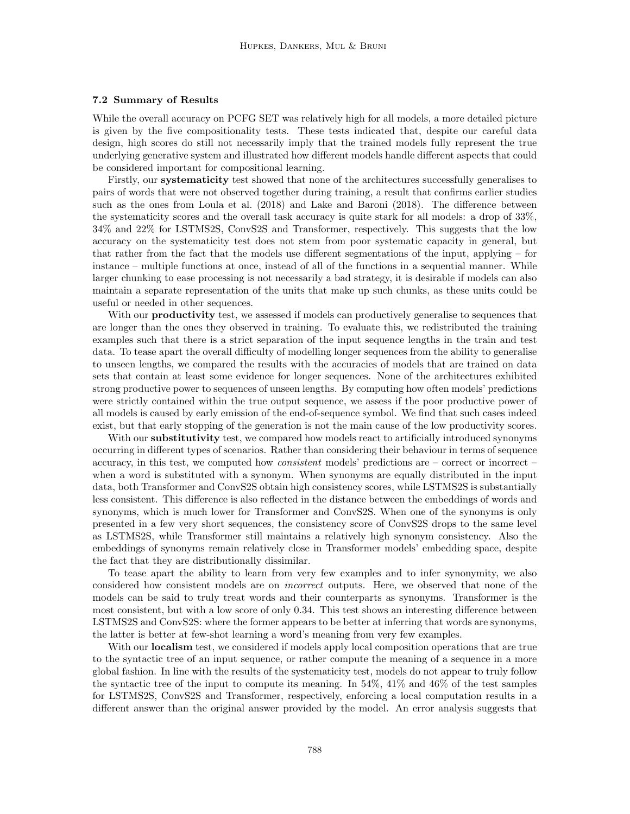## 7.2 Summary of Results

While the overall accuracy on PCFG SET was relatively high for all models, a more detailed picture is given by the five compositionality tests. These tests indicated that, despite our careful data design, high scores do still not necessarily imply that the trained models fully represent the true underlying generative system and illustrated how different models handle different aspects that could be considered important for compositional learning.

Firstly, our systematicity test showed that none of the architectures successfully generalises to pairs of words that were not observed together during training, a result that confirms earlier studies such as the ones from [Loula et al.](#page-36-10) [\(2018\)](#page-36-10) and [Lake and Baroni](#page-36-4) [\(2018\)](#page-36-4). The difference between the systematicity scores and the overall task accuracy is quite stark for all models: a drop of 33%, 34% and 22% for LSTMS2S, ConvS2S and Transformer, respectively. This suggests that the low accuracy on the systematicity test does not stem from poor systematic capacity in general, but that rather from the fact that the models use different segmentations of the input, applying – for instance – multiple functions at once, instead of all of the functions in a sequential manner. While larger chunking to ease processing is not necessarily a bad strategy, it is desirable if models can also maintain a separate representation of the units that make up such chunks, as these units could be useful or needed in other sequences.

With our **productivity** test, we assessed if models can productively generalise to sequences that are longer than the ones they observed in training. To evaluate this, we redistributed the training examples such that there is a strict separation of the input sequence lengths in the train and test data. To tease apart the overall difficulty of modelling longer sequences from the ability to generalise to unseen lengths, we compared the results with the accuracies of models that are trained on data sets that contain at least some evidence for longer sequences. None of the architectures exhibited strong productive power to sequences of unseen lengths. By computing how often models' predictions were strictly contained within the true output sequence, we assess if the poor productive power of all models is caused by early emission of the end-of-sequence symbol. We find that such cases indeed exist, but that early stopping of the generation is not the main cause of the low productivity scores.

With our **substitutivity** test, we compared how models react to artificially introduced synonyms occurring in different types of scenarios. Rather than considering their behaviour in terms of sequence accuracy, in this test, we computed how *consistent* models' predictions are  $-$  correct or incorrect  $$ when a word is substituted with a synonym. When synonyms are equally distributed in the input data, both Transformer and ConvS2S obtain high consistency scores, while LSTMS2S is substantially less consistent. This difference is also reflected in the distance between the embeddings of words and synonyms, which is much lower for Transformer and ConvS2S. When one of the synonyms is only presented in a few very short sequences, the consistency score of ConvS2S drops to the same level as LSTMS2S, while Transformer still maintains a relatively high synonym consistency. Also the embeddings of synonyms remain relatively close in Transformer models' embedding space, despite the fact that they are distributionally dissimilar.

To tease apart the ability to learn from very few examples and to infer synonymity, we also considered how consistent models are on incorrect outputs. Here, we observed that none of the models can be said to truly treat words and their counterparts as synonyms. Transformer is the most consistent, but with a low score of only 0.34. This test shows an interesting difference between LSTMS2S and ConvS2S: where the former appears to be better at inferring that words are synonyms, the latter is better at few-shot learning a word's meaning from very few examples.

With our **localism** test, we considered if models apply local composition operations that are true to the syntactic tree of an input sequence, or rather compute the meaning of a sequence in a more global fashion. In line with the results of the systematicity test, models do not appear to truly follow the syntactic tree of the input to compute its meaning. In 54%, 41% and 46% of the test samples for LSTMS2S, ConvS2S and Transformer, respectively, enforcing a local computation results in a different answer than the original answer provided by the model. An error analysis suggests that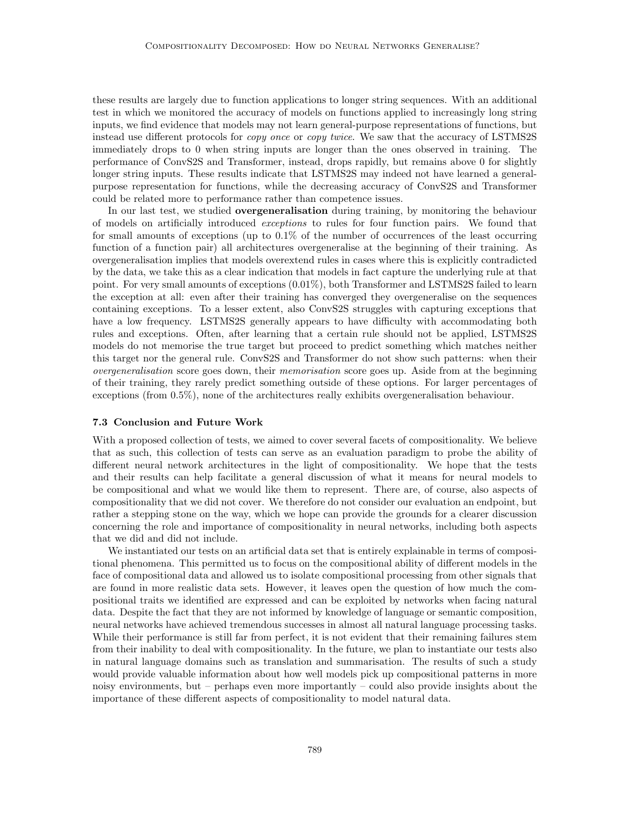these results are largely due to function applications to longer string sequences. With an additional test in which we monitored the accuracy of models on functions applied to increasingly long string inputs, we find evidence that models may not learn general-purpose representations of functions, but instead use different protocols for copy once or copy twice. We saw that the accuracy of LSTMS2S immediately drops to 0 when string inputs are longer than the ones observed in training. The performance of ConvS2S and Transformer, instead, drops rapidly, but remains above 0 for slightly longer string inputs. These results indicate that LSTMS2S may indeed not have learned a generalpurpose representation for functions, while the decreasing accuracy of ConvS2S and Transformer could be related more to performance rather than competence issues.

In our last test, we studied overgeneralisation during training, by monitoring the behaviour of models on artificially introduced exceptions to rules for four function pairs. We found that for small amounts of exceptions (up to 0.1% of the number of occurrences of the least occurring function of a function pair) all architectures overgeneralise at the beginning of their training. As overgeneralisation implies that models overextend rules in cases where this is explicitly contradicted by the data, we take this as a clear indication that models in fact capture the underlying rule at that point. For very small amounts of exceptions (0.01%), both Transformer and LSTMS2S failed to learn the exception at all: even after their training has converged they overgeneralise on the sequences containing exceptions. To a lesser extent, also ConvS2S struggles with capturing exceptions that have a low frequency. LSTMS2S generally appears to have difficulty with accommodating both rules and exceptions. Often, after learning that a certain rule should not be applied, LSTMS2S models do not memorise the true target but proceed to predict something which matches neither this target nor the general rule. ConvS2S and Transformer do not show such patterns: when their overgeneralisation score goes down, their memorisation score goes up. Aside from at the beginning of their training, they rarely predict something outside of these options. For larger percentages of exceptions (from 0.5%), none of the architectures really exhibits overgeneralisation behaviour.

## 7.3 Conclusion and Future Work

With a proposed collection of tests, we aimed to cover several facets of compositionality. We believe that as such, this collection of tests can serve as an evaluation paradigm to probe the ability of different neural network architectures in the light of compositionality. We hope that the tests and their results can help facilitate a general discussion of what it means for neural models to be compositional and what we would like them to represent. There are, of course, also aspects of compositionality that we did not cover. We therefore do not consider our evaluation an endpoint, but rather a stepping stone on the way, which we hope can provide the grounds for a clearer discussion concerning the role and importance of compositionality in neural networks, including both aspects that we did and did not include.

We instantiated our tests on an artificial data set that is entirely explainable in terms of compositional phenomena. This permitted us to focus on the compositional ability of different models in the face of compositional data and allowed us to isolate compositional processing from other signals that are found in more realistic data sets. However, it leaves open the question of how much the compositional traits we identified are expressed and can be exploited by networks when facing natural data. Despite the fact that they are not informed by knowledge of language or semantic composition, neural networks have achieved tremendous successes in almost all natural language processing tasks. While their performance is still far from perfect, it is not evident that their remaining failures stem from their inability to deal with compositionality. In the future, we plan to instantiate our tests also in natural language domains such as translation and summarisation. The results of such a study would provide valuable information about how well models pick up compositional patterns in more noisy environments, but – perhaps even more importantly – could also provide insights about the importance of these different aspects of compositionality to model natural data.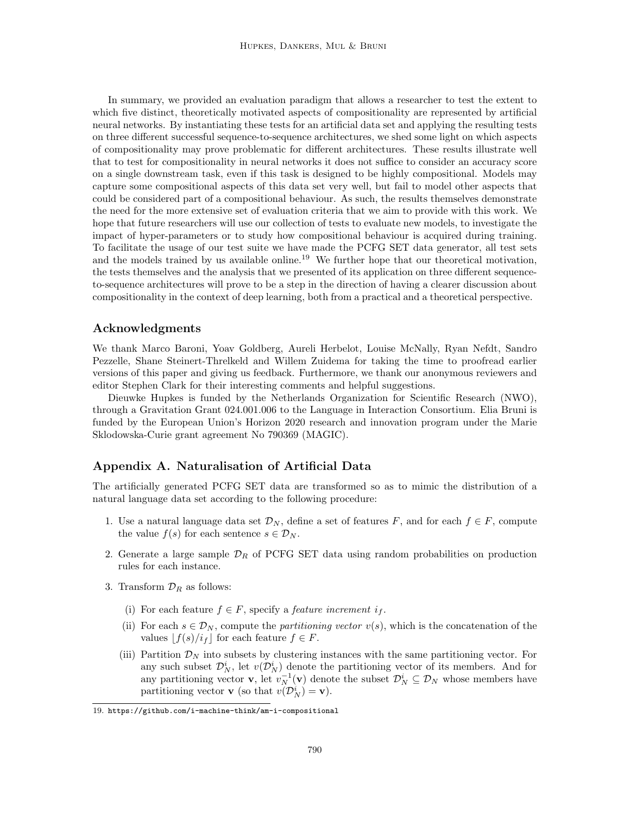In summary, we provided an evaluation paradigm that allows a researcher to test the extent to which five distinct, theoretically motivated aspects of compositionality are represented by artificial neural networks. By instantiating these tests for an artificial data set and applying the resulting tests on three different successful sequence-to-sequence architectures, we shed some light on which aspects of compositionality may prove problematic for different architectures. These results illustrate well that to test for compositionality in neural networks it does not suffice to consider an accuracy score on a single downstream task, even if this task is designed to be highly compositional. Models may capture some compositional aspects of this data set very well, but fail to model other aspects that could be considered part of a compositional behaviour. As such, the results themselves demonstrate the need for the more extensive set of evaluation criteria that we aim to provide with this work. We hope that future researchers will use our collection of tests to evaluate new models, to investigate the impact of hyper-parameters or to study how compositional behaviour is acquired during training. To facilitate the usage of our test suite we have made the PCFG SET data generator, all test sets and the models trained by us available online.<sup>[19](#page-33-1)</sup> We further hope that our theoretical motivation, the tests themselves and the analysis that we presented of its application on three different sequenceto-sequence architectures will prove to be a step in the direction of having a clearer discussion about compositionality in the context of deep learning, both from a practical and a theoretical perspective.

## Acknowledgments

We thank Marco Baroni, Yoav Goldberg, Aureli Herbelot, Louise McNally, Ryan Nefdt, Sandro Pezzelle, Shane Steinert-Threlkeld and Willem Zuidema for taking the time to proofread earlier versions of this paper and giving us feedback. Furthermore, we thank our anonymous reviewers and editor Stephen Clark for their interesting comments and helpful suggestions.

Dieuwke Hupkes is funded by the Netherlands Organization for Scientific Research (NWO), through a Gravitation Grant 024.001.006 to the Language in Interaction Consortium. Elia Bruni is funded by the European Union's Horizon 2020 research and innovation program under the Marie Sklodowska-Curie grant agreement No 790369 (MAGIC).

## <span id="page-33-0"></span>Appendix A. Naturalisation of Artificial Data

The artificially generated PCFG SET data are transformed so as to mimic the distribution of a natural language data set according to the following procedure:

- 1. Use a natural language data set  $\mathcal{D}_N$ , define a set of features F, and for each  $f \in F$ , compute the value  $f(s)$  for each sentence  $s \in \mathcal{D}_N$ .
- 2. Generate a large sample  $\mathcal{D}_R$  of PCFG SET data using random probabilities on production rules for each instance.
- 3. Transform  $\mathcal{D}_R$  as follows:
	- (i) For each feature  $f \in F$ , specify a *feature increment i<sub>f</sub>*.
	- (ii) For each  $s \in \mathcal{D}_N$ , compute the *partitioning vector*  $v(s)$ , which is the concatenation of the values  $\lfloor f(s)/i_f \rfloor$  for each feature  $f \in F$ .
	- (iii) Partition  $\mathcal{D}_N$  into subsets by clustering instances with the same partitioning vector. For any such subset  $\mathcal{D}_N^i$ , let  $v(\mathcal{D}_N^i)$  denote the partitioning vector of its members. And for any partitioning vector **v**, let  $v_N^{-1}(\mathbf{v})$  denote the subset  $\mathcal{D}_N^i \subseteq \mathcal{D}_N$  whose members have partitioning vector **v** (so that  $v(\mathcal{D}_N^i) = \mathbf{v}$ ).

<span id="page-33-1"></span><sup>19.</sup> <https://github.com/i-machine-think/am-i-compositional>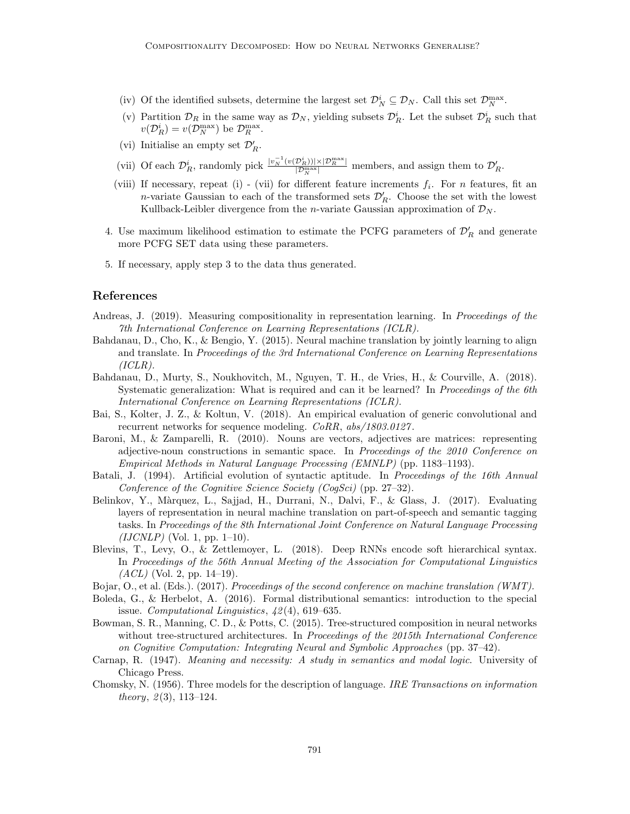- (iv) Of the identified subsets, determine the largest set  $\mathcal{D}_N^i \subseteq \mathcal{D}_N$ . Call this set  $\mathcal{D}_N^{\max}$ .
- (v) Partition  $\mathcal{D}_R$  in the same way as  $\mathcal{D}_N$ , yielding subsets  $\mathcal{D}_R^i$ . Let the subset  $\mathcal{D}_R^i$  such that  $v(\mathcal{D}_R^i) = v(\mathcal{D}_N^{\max})$  be  $\mathcal{D}_R^{\max}$ .
- (vi) Initialise an empty set  $\mathcal{D}'_R$ .
- (vii) Of each  $\mathcal{D}_R^i$ , randomly pick  $\frac{|v_N^{-1}(v(\mathcal{D}_R^i))| \times |\mathcal{D}_R^{\max}|}{|\mathcal{D}_R^{\max}|}$  members, and assign them to  $\mathcal{D}_R'$ .
- (viii) If necessary, repeat (i) (vii) for different feature increments  $f_i$ . For n features, fit an n-variate Gaussian to each of the transformed sets  $\mathcal{D}'_R$ . Choose the set with the lowest Kullback-Leibler divergence from the *n*-variate Gaussian approximation of  $\mathcal{D}_N$ .
- 4. Use maximum likelihood estimation to estimate the PCFG parameters of  $\mathcal{D}'_R$  and generate more PCFG SET data using these parameters.
- 5. If necessary, apply step 3 to the data thus generated.

## References

- <span id="page-34-4"></span>Andreas, J. (2019). Measuring compositionality in representation learning. In Proceedings of the 7th International Conference on Learning Representations (ICLR).
- <span id="page-34-1"></span>Bahdanau, D., Cho, K., & Bengio, Y. (2015). Neural machine translation by jointly learning to align and translate. In Proceedings of the 3rd International Conference on Learning Representations  $(ICLR).$
- <span id="page-34-3"></span>Bahdanau, D., Murty, S., Noukhovitch, M., Nguyen, T. H., de Vries, H., & Courville, A. (2018). Systematic generalization: What is required and can it be learned? In *Proceedings of the 6th* International Conference on Learning Representations (ICLR).
- <span id="page-34-12"></span>Bai, S., Kolter, J. Z., & Koltun, V. (2018). An empirical evaluation of generic convolutional and recurrent networks for sequence modeling. CoRR, abs/1803.0127.
- <span id="page-34-0"></span>Baroni, M., & Zamparelli, R. (2010). Nouns are vectors, adjectives are matrices: representing adjective-noun constructions in semantic space. In Proceedings of the 2010 Conference on Empirical Methods in Natural Language Processing (EMNLP) (pp. 1183–1193).
- <span id="page-34-6"></span>Batali, J. (1994). Artificial evolution of syntactic aptitude. In Proceedings of the 16th Annual Conference of the Cognitive Science Society (CogSci) (pp. 27–32).
- <span id="page-34-7"></span>Belinkov, Y., Màrquez, L., Sajjad, H., Durrani, N., Dalvi, F., & Glass, J. (2017). Evaluating layers of representation in neural machine translation on part-of-speech and semantic tagging tasks. In Proceedings of the 8th International Joint Conference on Natural Language Processing  $(IJCNLP)$  (Vol. 1, pp. 1–10).
- <span id="page-34-8"></span>Blevins, T., Levy, O., & Zettlemoyer, L. (2018). Deep RNNs encode soft hierarchical syntax. In Proceedings of the 56th Annual Meeting of the Association for Computational Linguistics  $(ACL)$  (Vol. 2, pp. 14–19).
- <span id="page-34-11"></span>Bojar, O., et al. (Eds.). (2017). Proceedings of the second conference on machine translation (WMT).
- <span id="page-34-2"></span>Boleda, G., & Herbelot, A. (2016). Formal distributional semantics: introduction to the special issue. Computational Linguistics, 42 (4), 619–635.
- <span id="page-34-5"></span>Bowman, S. R., Manning, C. D., & Potts, C. (2015). Tree-structured composition in neural networks without tree-structured architectures. In Proceedings of the 2015th International Conference on Cognitive Computation: Integrating Neural and Symbolic Approaches (pp. 37–42).
- <span id="page-34-10"></span>Carnap, R. (1947). Meaning and necessity: A study in semantics and modal logic. University of Chicago Press.
- <span id="page-34-9"></span>Chomsky, N. (1956). Three models for the description of language. IRE Transactions on information theory,  $2(3)$ , 113–124.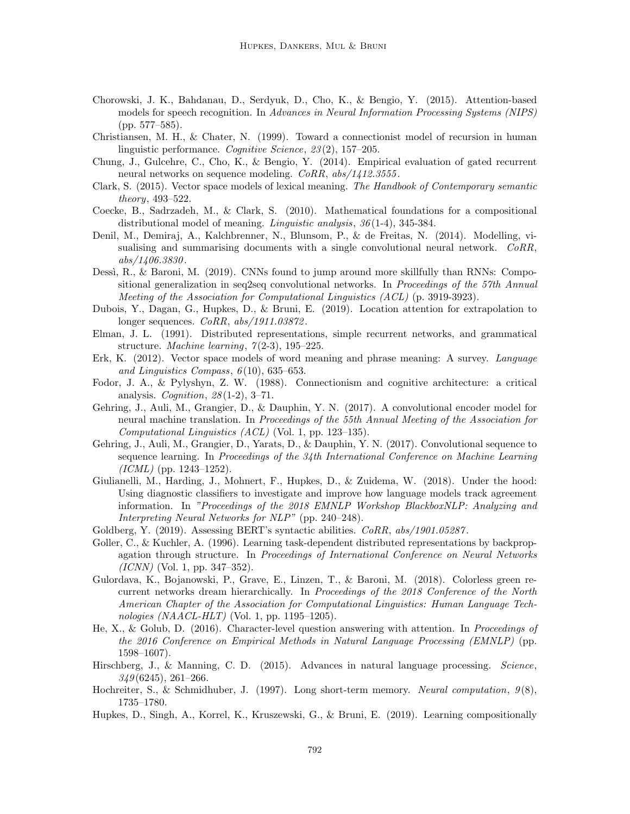- <span id="page-35-16"></span>Chorowski, J. K., Bahdanau, D., Serdyuk, D., Cho, K., & Bengio, Y. (2015). Attention-based models for speech recognition. In Advances in Neural Information Processing Systems (NIPS) (pp. 577–585).
- <span id="page-35-13"></span>Christiansen, M. H., & Chater, N. (1999). Toward a connectionist model of recursion in human linguistic performance. Cognitive Science, 23 (2), 157–205.
- <span id="page-35-6"></span>Chung, J., Gulcehre, C., Cho, K., & Bengio, Y. (2014). Empirical evaluation of gated recurrent neural networks on sequence modeling. CoRR,  $abs/1412.3555$ .
- <span id="page-35-0"></span>Clark, S. (2015). Vector space models of lexical meaning. The Handbook of Contemporary semantic theory, 493–522.
- <span id="page-35-3"></span>Coecke, B., Sadrzadeh, M., & Clark, S. (2010). Mathematical foundations for a compositional distributional model of meaning. Linguistic analysis, 36 (1-4), 345-384.
- <span id="page-35-19"></span>Denil, M., Demiraj, A., Kalchbrenner, N., Blunsom, P., & de Freitas, N. (2014). Modelling, visualising and summarising documents with a single convolutional neural network. CoRR, abs/1406.3830 .
- <span id="page-35-9"></span>Dessì, R., & Baroni, M. (2019). CNNs found to jump around more skillfully than RNNs: Compositional generalization in seq2seq convolutional networks. In Proceedings of the 57th Annual Meeting of the Association for Computational Linguistics (ACL) (p. 3919-3923).
- <span id="page-35-20"></span>Dubois, Y., Dagan, G., Hupkes, D., & Bruni, E. (2019). Location attention for extrapolation to longer sequences. *CoRR*,  $abs/1911.03872$ .
- <span id="page-35-14"></span>Elman, J. L. (1991). Distributed representations, simple recurrent networks, and grammatical structure. Machine learning,  $7(2-3)$ , 195–225.
- <span id="page-35-1"></span>Erk, K. (2012). Vector space models of word meaning and phrase meaning: A survey. Language and Linguistics Compass,  $6(10)$ , 635–653.
- <span id="page-35-7"></span>Fodor, J. A., & Pylyshyn, Z. W. (1988). Connectionism and cognitive architecture: a critical analysis. Cognition,  $28(1-2)$ , 3-71.
- <span id="page-35-18"></span>Gehring, J., Auli, M., Grangier, D., & Dauphin, Y. N. (2017). A convolutional encoder model for neural machine translation. In Proceedings of the 55th Annual Meeting of the Association for Computational Linguistics (ACL) (Vol. 1, pp. 123–135).
- <span id="page-35-15"></span>Gehring, J., Auli, M., Grangier, D., Yarats, D., & Dauphin, Y. N. (2017). Convolutional sequence to sequence learning. In Proceedings of the 34th International Conference on Machine Learning  $(ICML)$  (pp. 1243–1252).
- <span id="page-35-8"></span>Giulianelli, M., Harding, J., Mohnert, F., Hupkes, D., & Zuidema, W. (2018). Under the hood: Using diagnostic classifiers to investigate and improve how language models track agreement information. In "Proceedings of the 2018 EMNLP Workshop BlackboxNLP: Analyzing and Interpreting Neural Networks for NLP" (pp. 240–248).
- <span id="page-35-12"></span>Goldberg, Y. (2019). Assessing BERT's syntactic abilities. CoRR, abs/1901.05287.
- <span id="page-35-4"></span>Goller, C., & Kuchler, A. (1996). Learning task-dependent distributed representations by backpropagation through structure. In Proceedings of International Conference on Neural Networks  $(ICNN)$  (Vol. 1, pp. 347–352).
- <span id="page-35-11"></span>Gulordava, K., Bojanowski, P., Grave, E., Linzen, T., & Baroni, M. (2018). Colorless green recurrent networks dream hierarchically. In Proceedings of the 2018 Conference of the North American Chapter of the Association for Computational Linguistics: Human Language Technologies (NAACL-HLT) (Vol. 1, pp. 1195–1205).
- <span id="page-35-17"></span>He, X., & Golub, D. (2016). Character-level question answering with attention. In Proceedings of the 2016 Conference on Empirical Methods in Natural Language Processing (EMNLP) (pp. 1598–1607).
- <span id="page-35-2"></span>Hirschberg, J., & Manning, C. D. (2015). Advances in natural language processing. Science,  $349(6245), 261-266.$
- <span id="page-35-5"></span>Hochreiter, S., & Schmidhuber, J. (1997). Long short-term memory. Neural computation,  $9(8)$ , 1735–1780.
- <span id="page-35-10"></span>Hupkes, D., Singh, A., Korrel, K., Kruszewski, G., & Bruni, E. (2019). Learning compositionally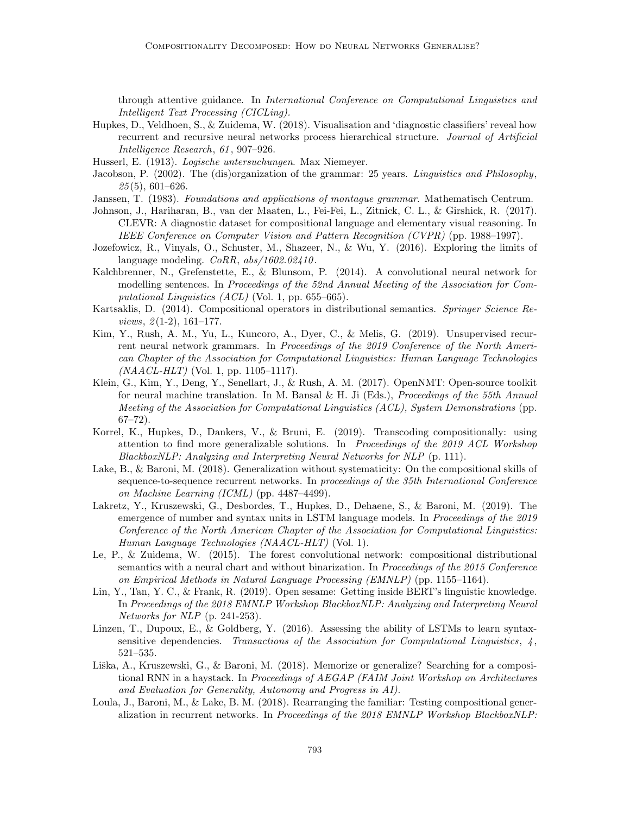through attentive guidance. In International Conference on Computational Linguistics and Intelligent Text Processing (CICLing).

- <span id="page-36-5"></span>Hupkes, D., Veldhoen, S., & Zuidema, W. (2018). Visualisation and 'diagnostic classifiers' reveal how recurrent and recursive neural networks process hierarchical structure. Journal of Artificial Intelligence Research, 61 , 907–926.
- <span id="page-36-15"></span>Husserl, E. (1913). Logische untersuchungen. Max Niemeyer.
- <span id="page-36-16"></span>Jacobson, P. (2002). The (dis)organization of the grammar: 25 years. Linguistics and Philosophy,  $25(5)$ , 601–626.
- <span id="page-36-8"></span>Janssen, T. (1983). Foundations and applications of montague grammar. Mathematisch Centrum.
- <span id="page-36-7"></span>Johnson, J., Hariharan, B., van der Maaten, L., Fei-Fei, L., Zitnick, C. L., & Girshick, R. (2017). CLEVR: A diagnostic dataset for compositional language and elementary visual reasoning. In IEEE Conference on Computer Vision and Pattern Recognition (CVPR) (pp. 1988–1997).
- <span id="page-36-13"></span>Jozefowicz, R., Vinyals, O., Schuster, M., Shazeer, N., & Wu, Y. (2016). Exploring the limits of language modeling.  $CoRR$ ,  $abs/1602.02410$ .
- <span id="page-36-2"></span>Kalchbrenner, N., Grefenstette, E., & Blunsom, P. (2014). A convolutional neural network for modelling sentences. In Proceedings of the 52nd Annual Meeting of the Association for Computational Linguistics  $(ACL)$  (Vol. 1, pp. 655–665).
- <span id="page-36-3"></span>Kartsaklis, D. (2014). Compositional operators in distributional semantics. Springer Science Re*views,*  $2(1-2)$ ,  $161-177$ .
- <span id="page-36-0"></span>Kim, Y., Rush, A. M., Yu, L., Kuncoro, A., Dyer, C., & Melis, G. (2019). Unsupervised recurrent neural network grammars. In Proceedings of the 2019 Conference of the North American Chapter of the Association for Computational Linguistics: Human Language Technologies  $(NAACL-HLT)$  (Vol. 1, pp. 1105–1117).
- <span id="page-36-17"></span>Klein, G., Kim, Y., Deng, Y., Senellart, J., & Rush, A. M. (2017). OpenNMT: Open-source toolkit for neural machine translation. In M. Bansal & H. Ji (Eds.), Proceedings of the 55th Annual Meeting of the Association for Computational Linguistics (ACL), System Demonstrations (pp.  $67 - 72$ ).
- <span id="page-36-12"></span>Korrel, K., Hupkes, D., Dankers, V., & Bruni, E. (2019). Transcoding compositionally: using attention to find more generalizable solutions. In Proceedings of the 2019 ACL Workshop BlackboxNLP: Analyzing and Interpreting Neural Networks for NLP (p. 111).
- <span id="page-36-4"></span>Lake, B., & Baroni, M. (2018). Generalization without systematicity: On the compositional skills of sequence-to-sequence recurrent networks. In proceedings of the 35th International Conference on Machine Learning (ICML) (pp. 4487–4499).
- <span id="page-36-9"></span>Lakretz, Y., Kruszewski, G., Desbordes, T., Hupkes, D., Dehaene, S., & Baroni, M. (2019). The emergence of number and syntax units in LSTM language models. In *Proceedings of the 2019* Conference of the North American Chapter of the Association for Computational Linguistics: Human Language Technologies (NAACL-HLT) (Vol. 1).
- <span id="page-36-1"></span>Le, P., & Zuidema, W. (2015). The forest convolutional network: compositional distributional semantics with a neural chart and without binarization. In Proceedings of the 2015 Conference on Empirical Methods in Natural Language Processing (EMNLP) (pp. 1155–1164).
- <span id="page-36-14"></span>Lin, Y., Tan, Y. C., & Frank, R. (2019). Open sesame: Getting inside BERT's linguistic knowledge. In Proceedings of the 2018 EMNLP Workshop BlackboxNLP: Analyzing and Interpreting Neural Networks for NLP (p. 241-253).
- <span id="page-36-6"></span>Linzen, T., Dupoux, E., & Goldberg, Y.  $(2016)$ . Assessing the ability of LSTMs to learn syntaxsensitive dependencies. Transactions of the Association for Computational Linguistics,  $\frac{1}{4}$ , 521–535.
- <span id="page-36-11"></span>Liška, A., Kruszewski, G., & Baroni, M. (2018). Memorize or generalize? Searching for a compositional RNN in a haystack. In Proceedings of AEGAP (FAIM Joint Workshop on Architectures and Evaluation for Generality, Autonomy and Progress in AI).
- <span id="page-36-10"></span>Loula, J., Baroni, M., & Lake, B. M. (2018). Rearranging the familiar: Testing compositional generalization in recurrent networks. In Proceedings of the 2018 EMNLP Workshop BlackboxNLP: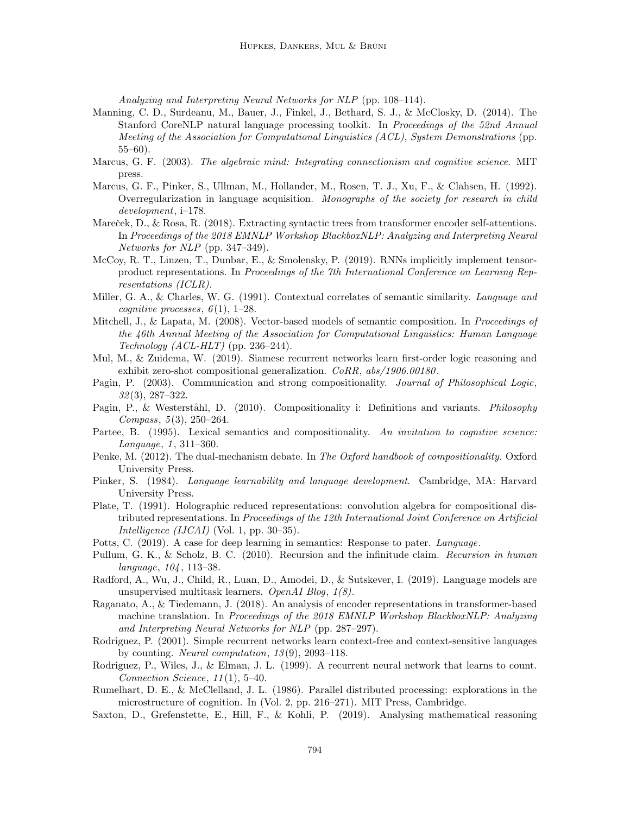Analyzing and Interpreting Neural Networks for NLP (pp. 108–114).

- <span id="page-37-20"></span>Manning, C. D., Surdeanu, M., Bauer, J., Finkel, J., Bethard, S. J., & McClosky, D. (2014). The Stanford CoreNLP natural language processing toolkit. In Proceedings of the 52nd Annual Meeting of the Association for Computational Linguistics (ACL), System Demonstrations (pp. 55–60).
- <span id="page-37-4"></span>Marcus, G. F. (2003). The algebraic mind: Integrating connectionism and cognitive science. MIT press.
- <span id="page-37-17"></span>Marcus, G. F., Pinker, S., Ullman, M., Hollander, M., Rosen, T. J., Xu, F., & Clahsen, H. (1992). Overregularization in language acquisition. Monographs of the society for research in child development, i–178.
- <span id="page-37-13"></span>Mareček, D., & Rosa, R. (2018). Extracting syntactic trees from transformer encoder self-attentions. In Proceedings of the 2018 EMNLP Workshop BlackboxNLP: Analyzing and Interpreting Neural Networks for NLP (pp. 347–349).
- <span id="page-37-7"></span>McCoy, R. T., Linzen, T., Dunbar, E., & Smolensky, P. (2019). RNNs implicitly implement tensorproduct representations. In Proceedings of the 7th International Conference on Learning Representations (ICLR).
- <span id="page-37-0"></span>Miller, G. A., & Charles, W. G. (1991). Contextual correlates of semantic similarity. Language and cognitive processes,  $6(1)$ , 1–28.
- <span id="page-37-1"></span>Mitchell, J., & Lapata, M. (2008). Vector-based models of semantic composition. In Proceedings of the 46th Annual Meeting of the Association for Computational Linguistics: Human Language  $Technology (ACL-HLT)$  (pp. 236–244).
- <span id="page-37-9"></span>Mul, M., & Zuidema, W. (2019). Siamese recurrent networks learn first-order logic reasoning and exhibit zero-shot compositional generalization.  $CoRR$ ,  $abs/1906.00180$ .
- <span id="page-37-15"></span>Pagin, P. (2003). Communication and strong compositionality. Journal of Philosophical Logic,  $32(3), 287-322.$
- <span id="page-37-16"></span>Pagin, P., & Westerståhl, D. (2010). Compositionality i: Definitions and variants. Philosophy Compass,  $5(3)$ ,  $250-264$ .
- <span id="page-37-6"></span>Partee, B. (1995). Lexical semantics and compositionality. An invitation to cognitive science:  $Language, 1, 311–360.$
- <span id="page-37-19"></span>Penke, M. (2012). The dual-mechanism debate. In The Oxford handbook of compositionality. Oxford University Press.
- <span id="page-37-5"></span>Pinker, S. (1984). Language learnability and language development. Cambridge, MA: Harvard University Press.
- <span id="page-37-2"></span>Plate, T. (1991). Holographic reduced representations: convolution algebra for compositional distributed representations. In Proceedings of the 12th International Joint Conference on Artificial Intelligence (IJCAI) (Vol. 1, pp. 30–35).
- <span id="page-37-3"></span>Potts, C. (2019). A case for deep learning in semantics: Response to pater. Language.
- <span id="page-37-14"></span>Pullum, G. K., & Scholz, B. C. (2010). Recursion and the infinitude claim. Recursion in human language, 104, 113–38.
- <span id="page-37-21"></span>Radford, A., Wu, J., Child, R., Luan, D., Amodei, D., & Sutskever, I. (2019). Language models are unsupervised multitask learners. OpenAI Blog, 1(8).
- <span id="page-37-12"></span>Raganato, A., & Tiedemann, J. (2018). An analysis of encoder representations in transformer-based machine translation. In Proceedings of the 2018 EMNLP Workshop BlackboxNLP: Analyzing and Interpreting Neural Networks for NLP (pp. 287–297).
- <span id="page-37-10"></span>Rodriguez, P. (2001). Simple recurrent networks learn context-free and context-sensitive languages by counting. *Neural computation*,  $13(9)$ ,  $2093-118$ .
- <span id="page-37-11"></span>Rodriguez, P., Wiles, J., & Elman, J. L. (1999). A recurrent neural network that learns to count. Connection Science,  $11(1)$ , 5-40.
- <span id="page-37-18"></span>Rumelhart, D. E., & McClelland, J. L. (1986). Parallel distributed processing: explorations in the microstructure of cognition. In (Vol. 2, pp. 216–271). MIT Press, Cambridge.
- <span id="page-37-8"></span>Saxton, D., Grefenstette, E., Hill, F., & Kohli, P. (2019). Analysing mathematical reasoning